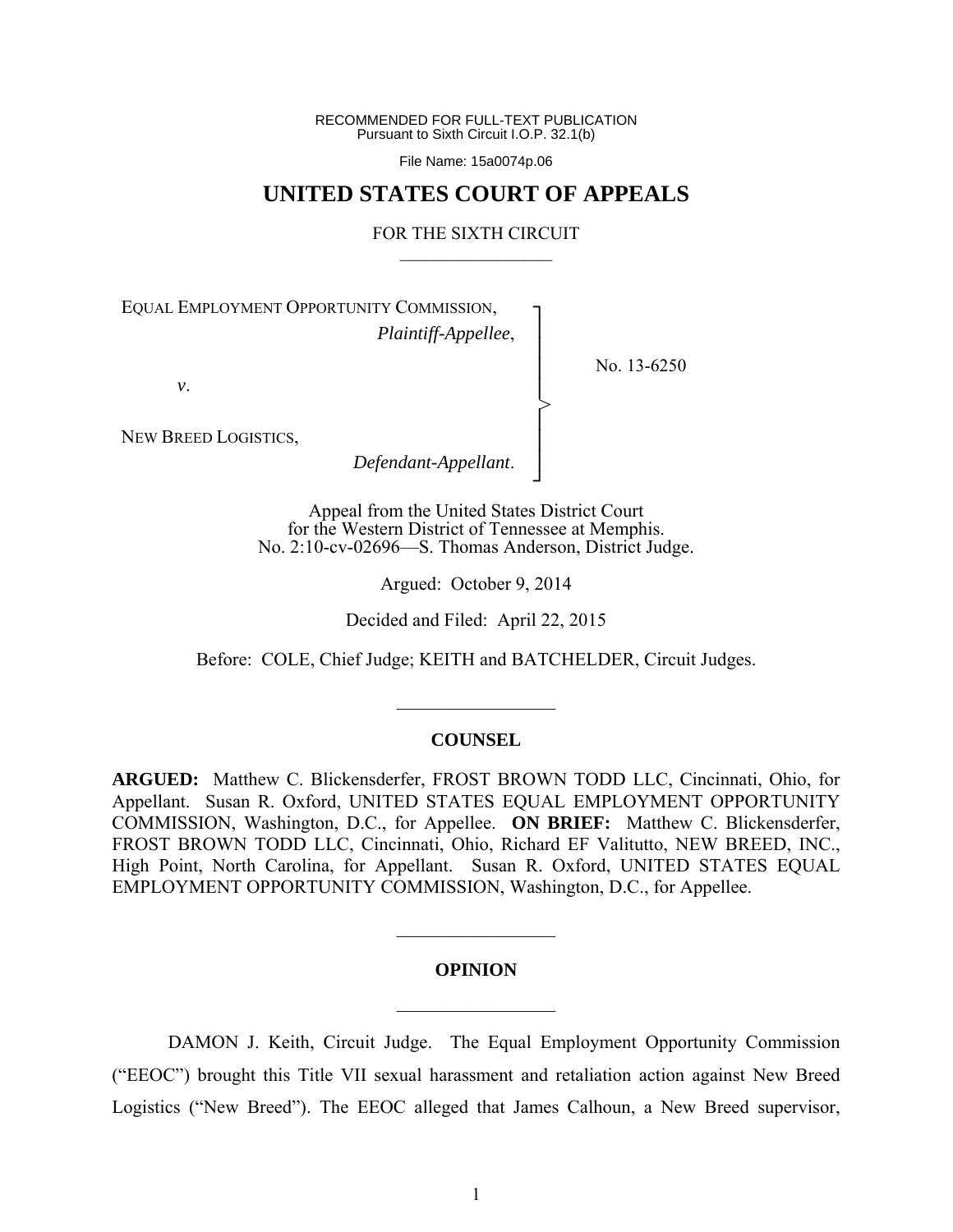RECOMMENDED FOR FULL-TEXT PUBLICATION Pursuant to Sixth Circuit I.O.P. 32.1(b)

File Name: 15a0074p.06

## **UNITED STATES COURT OF APPEALS**

#### FOR THE SIXTH CIRCUIT  $\mathcal{L}_\text{max}$

┐ │ │ │ │ │ │ │ ┘

>

No. 13-6250

EQUAL EMPLOYMENT OPPORTUNITY COMMISSION, *Plaintiff-Appellee*,

*v*.

NEW BREED LOGISTICS,

*Defendant-Appellant*.

Appeal from the United States District Court for the Western District of Tennessee at Memphis. No. 2:10-cv-02696—S. Thomas Anderson, District Judge.

Argued: October 9, 2014

Decided and Filed: April 22, 2015

Before: COLE, Chief Judge; KEITH and BATCHELDER, Circuit Judges.

#### **COUNSEL**

 $\frac{1}{2}$ 

**ARGUED:** Matthew C. Blickensderfer, FROST BROWN TODD LLC, Cincinnati, Ohio, for Appellant. Susan R. Oxford, UNITED STATES EQUAL EMPLOYMENT OPPORTUNITY COMMISSION, Washington, D.C., for Appellee. **ON BRIEF:** Matthew C. Blickensderfer, FROST BROWN TODD LLC, Cincinnati, Ohio, Richard EF Valitutto, NEW BREED, INC., High Point, North Carolina, for Appellant. Susan R. Oxford, UNITED STATES EQUAL EMPLOYMENT OPPORTUNITY COMMISSION, Washington, D.C., for Appellee.

#### **OPINION**

 $\frac{1}{2}$ 

 $\frac{1}{2}$ 

DAMON J. Keith, Circuit Judge. The Equal Employment Opportunity Commission ("EEOC") brought this Title VII sexual harassment and retaliation action against New Breed Logistics ("New Breed"). The EEOC alleged that James Calhoun, a New Breed supervisor,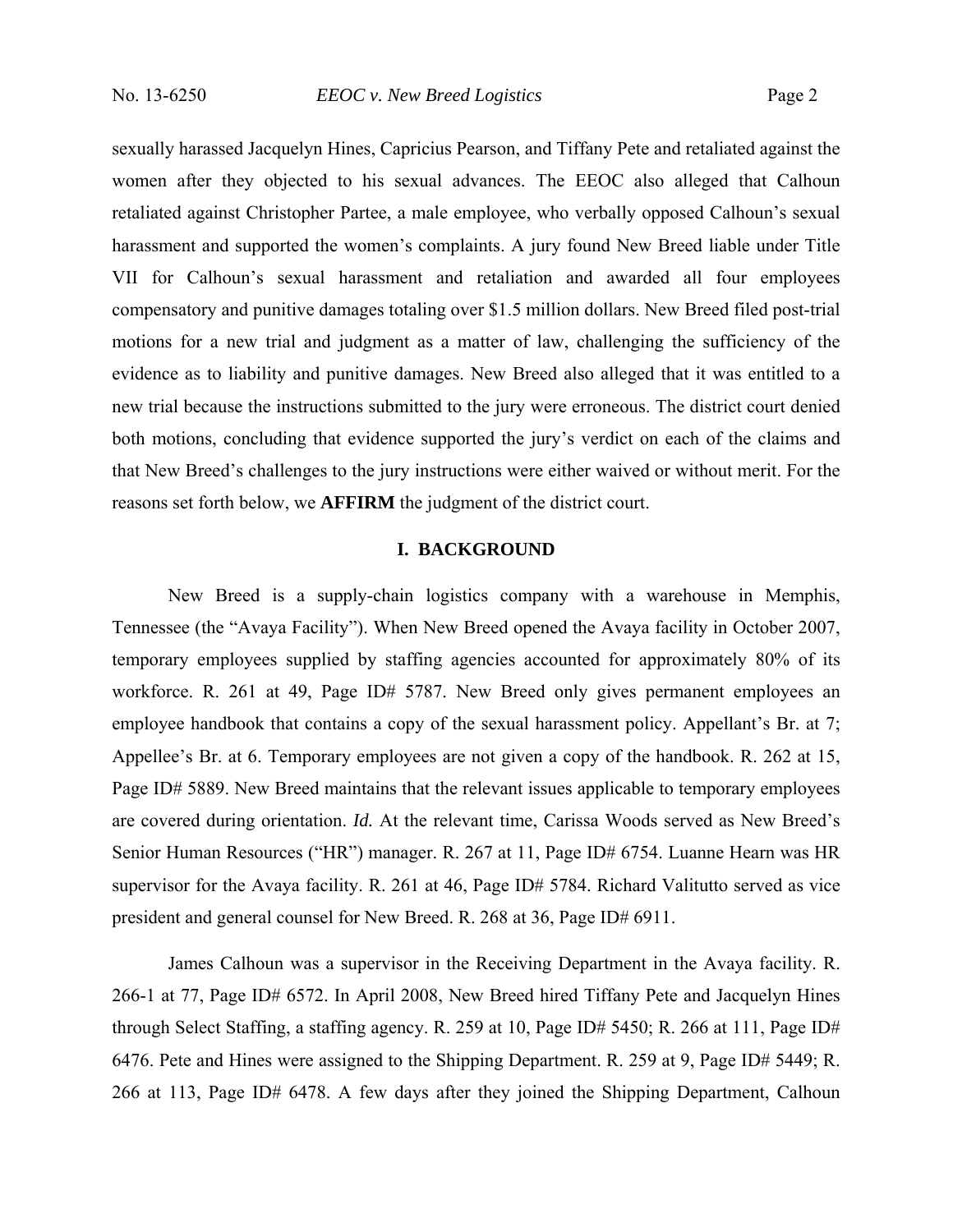sexually harassed Jacquelyn Hines, Capricius Pearson, and Tiffany Pete and retaliated against the women after they objected to his sexual advances. The EEOC also alleged that Calhoun retaliated against Christopher Partee, a male employee, who verbally opposed Calhoun's sexual harassment and supported the women's complaints. A jury found New Breed liable under Title VII for Calhoun's sexual harassment and retaliation and awarded all four employees compensatory and punitive damages totaling over \$1.5 million dollars. New Breed filed post-trial motions for a new trial and judgment as a matter of law, challenging the sufficiency of the evidence as to liability and punitive damages. New Breed also alleged that it was entitled to a new trial because the instructions submitted to the jury were erroneous. The district court denied both motions, concluding that evidence supported the jury's verdict on each of the claims and that New Breed's challenges to the jury instructions were either waived or without merit. For the reasons set forth below, we **AFFIRM** the judgment of the district court.

## **I. BACKGROUND**

New Breed is a supply-chain logistics company with a warehouse in Memphis, Tennessee (the "Avaya Facility"). When New Breed opened the Avaya facility in October 2007, temporary employees supplied by staffing agencies accounted for approximately 80% of its workforce. R. 261 at 49, Page ID# 5787. New Breed only gives permanent employees an employee handbook that contains a copy of the sexual harassment policy. Appellant's Br. at 7; Appellee's Br. at 6. Temporary employees are not given a copy of the handbook. R. 262 at 15, Page ID# 5889. New Breed maintains that the relevant issues applicable to temporary employees are covered during orientation. *Id.* At the relevant time, Carissa Woods served as New Breed's Senior Human Resources ("HR") manager. R. 267 at 11, Page ID# 6754. Luanne Hearn was HR supervisor for the Avaya facility. R. 261 at 46, Page ID# 5784. Richard Valitutto served as vice president and general counsel for New Breed. R. 268 at 36, Page ID# 6911.

James Calhoun was a supervisor in the Receiving Department in the Avaya facility. R. 266-1 at 77, Page ID# 6572. In April 2008, New Breed hired Tiffany Pete and Jacquelyn Hines through Select Staffing, a staffing agency. R. 259 at 10, Page ID# 5450; R. 266 at 111, Page ID# 6476. Pete and Hines were assigned to the Shipping Department. R. 259 at 9, Page ID# 5449; R. 266 at 113, Page ID# 6478. A few days after they joined the Shipping Department, Calhoun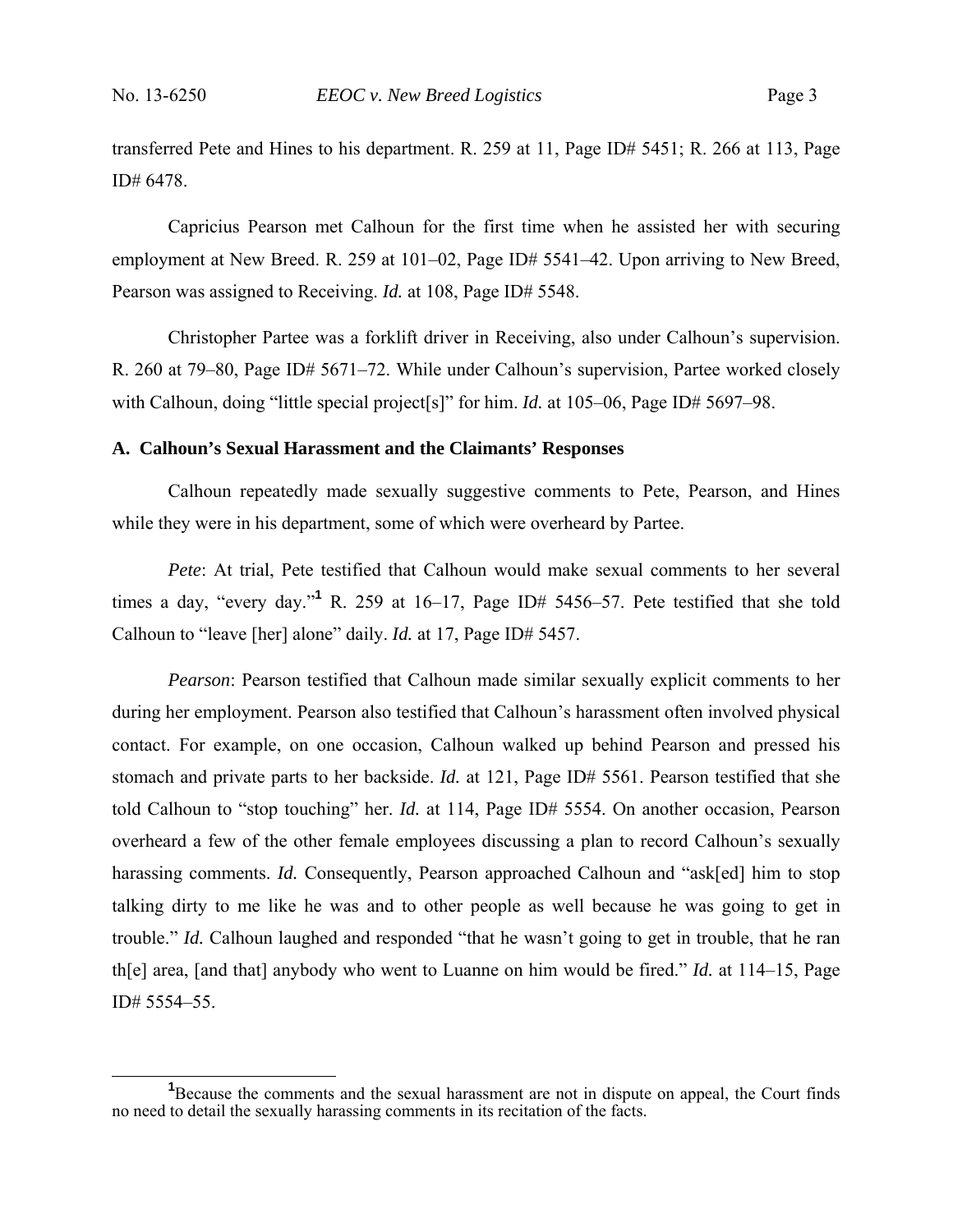transferred Pete and Hines to his department. R. 259 at 11, Page ID# 5451; R. 266 at 113, Page ID# 6478.

Capricius Pearson met Calhoun for the first time when he assisted her with securing employment at New Breed. R. 259 at 101–02, Page ID# 5541–42. Upon arriving to New Breed, Pearson was assigned to Receiving. *Id.* at 108, Page ID# 5548.

Christopher Partee was a forklift driver in Receiving, also under Calhoun's supervision. R. 260 at 79–80, Page ID# 5671–72. While under Calhoun's supervision, Partee worked closely with Calhoun, doing "little special project<sup>[s]"</sup> for him. *Id.* at 105–06, Page ID# 5697–98.

#### **A. Calhoun's Sexual Harassment and the Claimants' Responses**

Calhoun repeatedly made sexually suggestive comments to Pete, Pearson, and Hines while they were in his department, some of which were overheard by Partee.

*Pete*: At trial, Pete testified that Calhoun would make sexual comments to her several times a day, "every day."<sup>1</sup> R. 259 at 16–17, Page ID# 5456–57. Pete testified that she told Calhoun to "leave [her] alone" daily. *Id.* at 17, Page ID# 5457.

*Pearson*: Pearson testified that Calhoun made similar sexually explicit comments to her during her employment. Pearson also testified that Calhoun's harassment often involved physical contact. For example, on one occasion, Calhoun walked up behind Pearson and pressed his stomach and private parts to her backside. *Id.* at 121, Page ID# 5561. Pearson testified that she told Calhoun to "stop touching" her. *Id.* at 114, Page ID# 5554. On another occasion, Pearson overheard a few of the other female employees discussing a plan to record Calhoun's sexually harassing comments. *Id.* Consequently, Pearson approached Calhoun and "ask[ed] him to stop talking dirty to me like he was and to other people as well because he was going to get in trouble." *Id.* Calhoun laughed and responded "that he wasn't going to get in trouble, that he ran th[e] area, [and that] anybody who went to Luanne on him would be fired." *Id.* at 114–15, Page ID# 5554–55.

**<sup>1</sup>** <sup>1</sup>Because the comments and the sexual harassment are not in dispute on appeal, the Court finds no need to detail the sexually harassing comments in its recitation of the facts.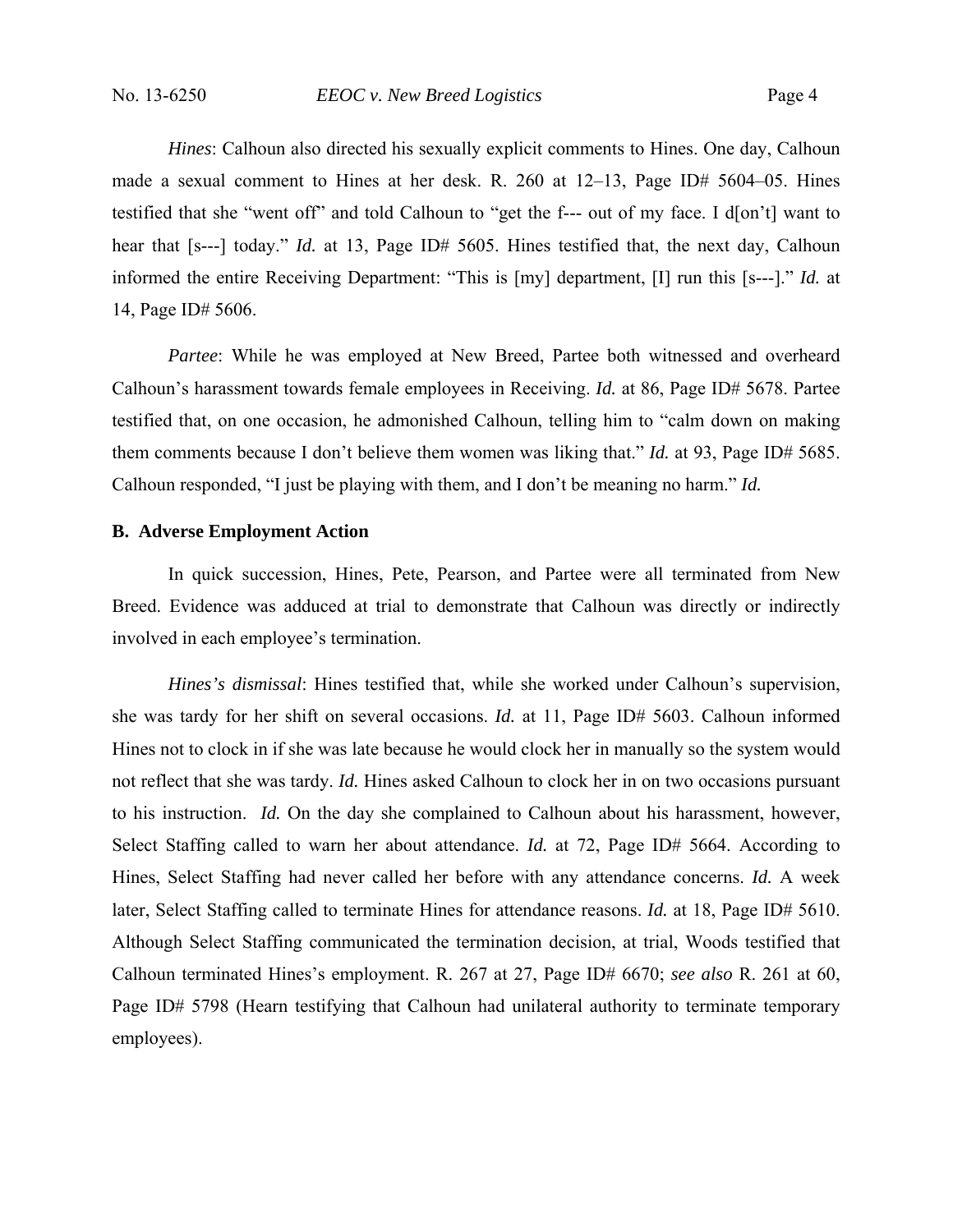*Hines*: Calhoun also directed his sexually explicit comments to Hines. One day, Calhoun made a sexual comment to Hines at her desk. R. 260 at 12–13, Page ID# 5604–05. Hines testified that she "went off" and told Calhoun to "get the f--- out of my face. I d[on't] want to hear that [s---] today." *Id.* at 13, Page ID# 5605. Hines testified that, the next day, Calhoun informed the entire Receiving Department: "This is [my] department, [I] run this [s---]." *Id.* at 14, Page ID# 5606.

*Partee*: While he was employed at New Breed, Partee both witnessed and overheard Calhoun's harassment towards female employees in Receiving. *Id.* at 86, Page ID# 5678. Partee testified that, on one occasion, he admonished Calhoun, telling him to "calm down on making them comments because I don't believe them women was liking that." *Id.* at 93, Page ID# 5685. Calhoun responded, "I just be playing with them, and I don't be meaning no harm." *Id.*

## **B. Adverse Employment Action**

In quick succession, Hines, Pete, Pearson, and Partee were all terminated from New Breed. Evidence was adduced at trial to demonstrate that Calhoun was directly or indirectly involved in each employee's termination.

*Hines's dismissal*: Hines testified that, while she worked under Calhoun's supervision, she was tardy for her shift on several occasions. *Id.* at 11, Page ID# 5603. Calhoun informed Hines not to clock in if she was late because he would clock her in manually so the system would not reflect that she was tardy. *Id.* Hines asked Calhoun to clock her in on two occasions pursuant to his instruction. *Id.* On the day she complained to Calhoun about his harassment, however, Select Staffing called to warn her about attendance. *Id.* at 72, Page ID# 5664. According to Hines, Select Staffing had never called her before with any attendance concerns. *Id.* A week later, Select Staffing called to terminate Hines for attendance reasons. *Id.* at 18, Page ID# 5610. Although Select Staffing communicated the termination decision, at trial, Woods testified that Calhoun terminated Hines's employment. R. 267 at 27, Page ID# 6670; *see also* R. 261 at 60, Page ID# 5798 (Hearn testifying that Calhoun had unilateral authority to terminate temporary employees).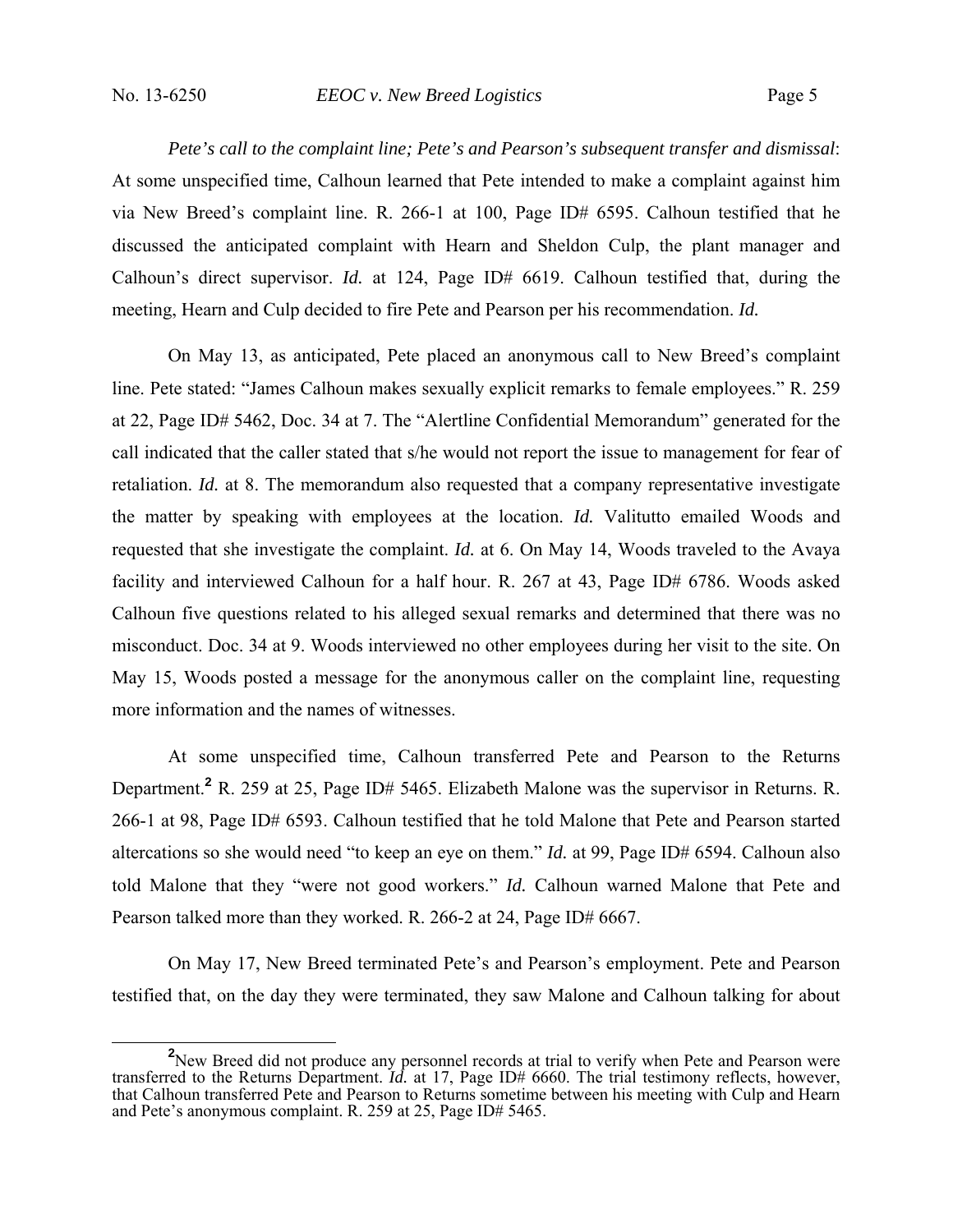*Pete's call to the complaint line; Pete's and Pearson's subsequent transfer and dismissal*: At some unspecified time, Calhoun learned that Pete intended to make a complaint against him via New Breed's complaint line. R. 266-1 at 100, Page ID# 6595. Calhoun testified that he discussed the anticipated complaint with Hearn and Sheldon Culp, the plant manager and Calhoun's direct supervisor. *Id.* at 124, Page ID# 6619. Calhoun testified that, during the meeting, Hearn and Culp decided to fire Pete and Pearson per his recommendation. *Id.*

On May 13, as anticipated, Pete placed an anonymous call to New Breed's complaint line. Pete stated: "James Calhoun makes sexually explicit remarks to female employees." R. 259 at 22, Page ID# 5462, Doc. 34 at 7. The "Alertline Confidential Memorandum" generated for the call indicated that the caller stated that s/he would not report the issue to management for fear of retaliation. *Id.* at 8. The memorandum also requested that a company representative investigate the matter by speaking with employees at the location. *Id.* Valitutto emailed Woods and requested that she investigate the complaint. *Id.* at 6. On May 14, Woods traveled to the Avaya facility and interviewed Calhoun for a half hour. R. 267 at 43, Page ID# 6786. Woods asked Calhoun five questions related to his alleged sexual remarks and determined that there was no misconduct. Doc. 34 at 9. Woods interviewed no other employees during her visit to the site. On May 15, Woods posted a message for the anonymous caller on the complaint line, requesting more information and the names of witnesses.

At some unspecified time, Calhoun transferred Pete and Pearson to the Returns Department.**<sup>2</sup>** R. 259 at 25, Page ID# 5465. Elizabeth Malone was the supervisor in Returns. R. 266-1 at 98, Page ID# 6593. Calhoun testified that he told Malone that Pete and Pearson started altercations so she would need "to keep an eye on them." *Id.* at 99, Page ID# 6594. Calhoun also told Malone that they "were not good workers." *Id.* Calhoun warned Malone that Pete and Pearson talked more than they worked. R. 266-2 at 24, Page ID# 6667.

On May 17, New Breed terminated Pete's and Pearson's employment. Pete and Pearson testified that, on the day they were terminated, they saw Malone and Calhoun talking for about

<sup>&</sup>lt;sup>2</sup> New Breed did not produce any personnel records at trial to verify when Pete and Pearson were transferred to the Returns Department. *Id.* at 17, Page ID# 6660. The trial testimony reflects, however, that Calhoun transferred Pete and Pearson to Returns sometime between his meeting with Culp and Hearn and Pete's anonymous complaint. R. 259 at 25, Page ID# 5465.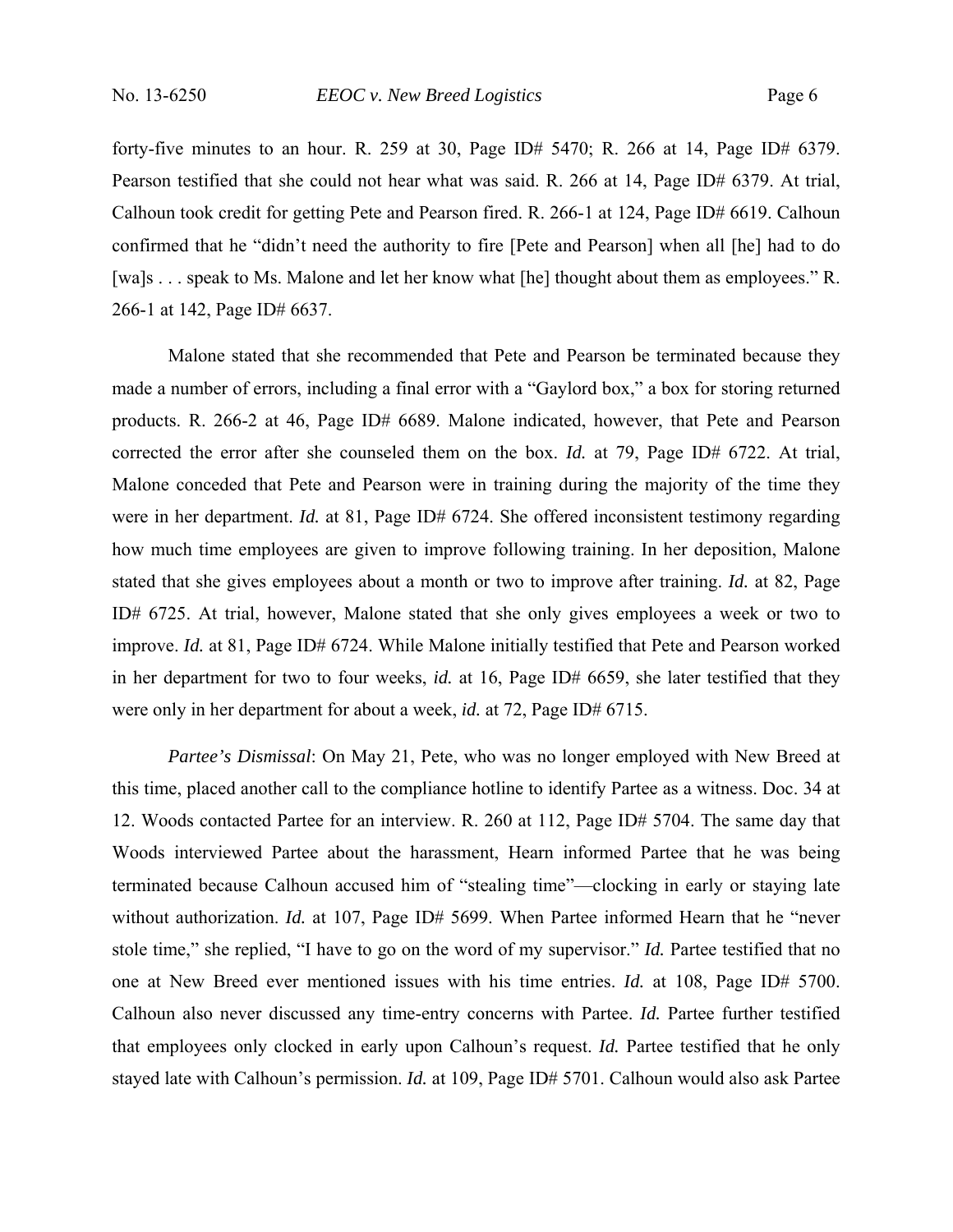forty-five minutes to an hour. R. 259 at 30, Page ID# 5470; R. 266 at 14, Page ID# 6379. Pearson testified that she could not hear what was said. R. 266 at 14, Page ID# 6379. At trial, Calhoun took credit for getting Pete and Pearson fired. R. 266-1 at 124, Page ID# 6619. Calhoun confirmed that he "didn't need the authority to fire [Pete and Pearson] when all [he] had to do [wa]s . . . speak to Ms. Malone and let her know what [he] thought about them as employees." R. 266-1 at 142, Page ID# 6637.

Malone stated that she recommended that Pete and Pearson be terminated because they made a number of errors, including a final error with a "Gaylord box," a box for storing returned products. R. 266-2 at 46, Page ID# 6689. Malone indicated, however, that Pete and Pearson corrected the error after she counseled them on the box. *Id.* at 79, Page ID# 6722. At trial, Malone conceded that Pete and Pearson were in training during the majority of the time they were in her department. *Id.* at 81, Page ID# 6724. She offered inconsistent testimony regarding how much time employees are given to improve following training. In her deposition, Malone stated that she gives employees about a month or two to improve after training. *Id.* at 82, Page ID# 6725. At trial, however, Malone stated that she only gives employees a week or two to improve. *Id.* at 81, Page ID# 6724. While Malone initially testified that Pete and Pearson worked in her department for two to four weeks, *id.* at 16, Page ID# 6659, she later testified that they were only in her department for about a week, *id.* at 72, Page ID# 6715.

*Partee's Dismissal*: On May 21, Pete, who was no longer employed with New Breed at this time, placed another call to the compliance hotline to identify Partee as a witness. Doc. 34 at 12. Woods contacted Partee for an interview. R. 260 at 112, Page ID# 5704. The same day that Woods interviewed Partee about the harassment, Hearn informed Partee that he was being terminated because Calhoun accused him of "stealing time"—clocking in early or staying late without authorization. *Id.* at 107, Page ID# 5699. When Partee informed Hearn that he "never stole time," she replied, "I have to go on the word of my supervisor." *Id.* Partee testified that no one at New Breed ever mentioned issues with his time entries. *Id.* at 108, Page ID# 5700. Calhoun also never discussed any time-entry concerns with Partee. *Id.* Partee further testified that employees only clocked in early upon Calhoun's request. *Id.* Partee testified that he only stayed late with Calhoun's permission. *Id.* at 109, Page ID# 5701. Calhoun would also ask Partee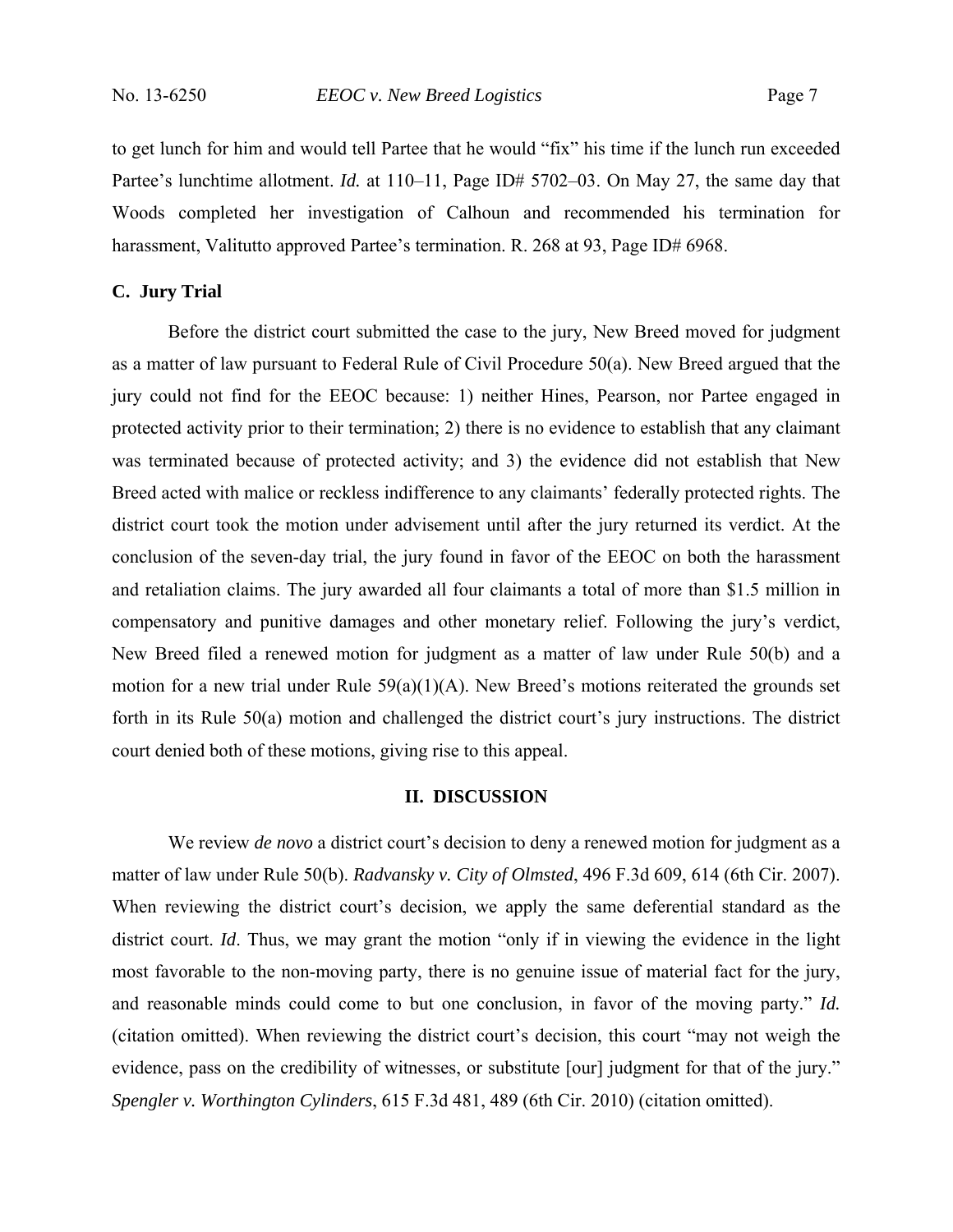to get lunch for him and would tell Partee that he would "fix" his time if the lunch run exceeded Partee's lunchtime allotment. *Id.* at 110–11, Page ID# 5702–03. On May 27, the same day that Woods completed her investigation of Calhoun and recommended his termination for harassment, Valitutto approved Partee's termination. R. 268 at 93, Page ID# 6968.

### **C. Jury Trial**

Before the district court submitted the case to the jury, New Breed moved for judgment as a matter of law pursuant to Federal Rule of Civil Procedure 50(a). New Breed argued that the jury could not find for the EEOC because: 1) neither Hines, Pearson, nor Partee engaged in protected activity prior to their termination; 2) there is no evidence to establish that any claimant was terminated because of protected activity; and 3) the evidence did not establish that New Breed acted with malice or reckless indifference to any claimants' federally protected rights. The district court took the motion under advisement until after the jury returned its verdict. At the conclusion of the seven-day trial, the jury found in favor of the EEOC on both the harassment and retaliation claims. The jury awarded all four claimants a total of more than \$1.5 million in compensatory and punitive damages and other monetary relief. Following the jury's verdict, New Breed filed a renewed motion for judgment as a matter of law under Rule 50(b) and a motion for a new trial under Rule 59(a)(1)(A). New Breed's motions reiterated the grounds set forth in its Rule 50(a) motion and challenged the district court's jury instructions. The district court denied both of these motions, giving rise to this appeal.

## **II. DISCUSSION**

We review *de novo* a district court's decision to deny a renewed motion for judgment as a matter of law under Rule 50(b). *Radvansky v. City of Olmsted*, 496 F.3d 609, 614 (6th Cir. 2007). When reviewing the district court's decision, we apply the same deferential standard as the district court. *Id*. Thus, we may grant the motion "only if in viewing the evidence in the light most favorable to the non-moving party, there is no genuine issue of material fact for the jury, and reasonable minds could come to but one conclusion, in favor of the moving party." *Id.* (citation omitted). When reviewing the district court's decision, this court "may not weigh the evidence, pass on the credibility of witnesses, or substitute [our] judgment for that of the jury." *Spengler v. Worthington Cylinders*, 615 F.3d 481, 489 (6th Cir. 2010) (citation omitted).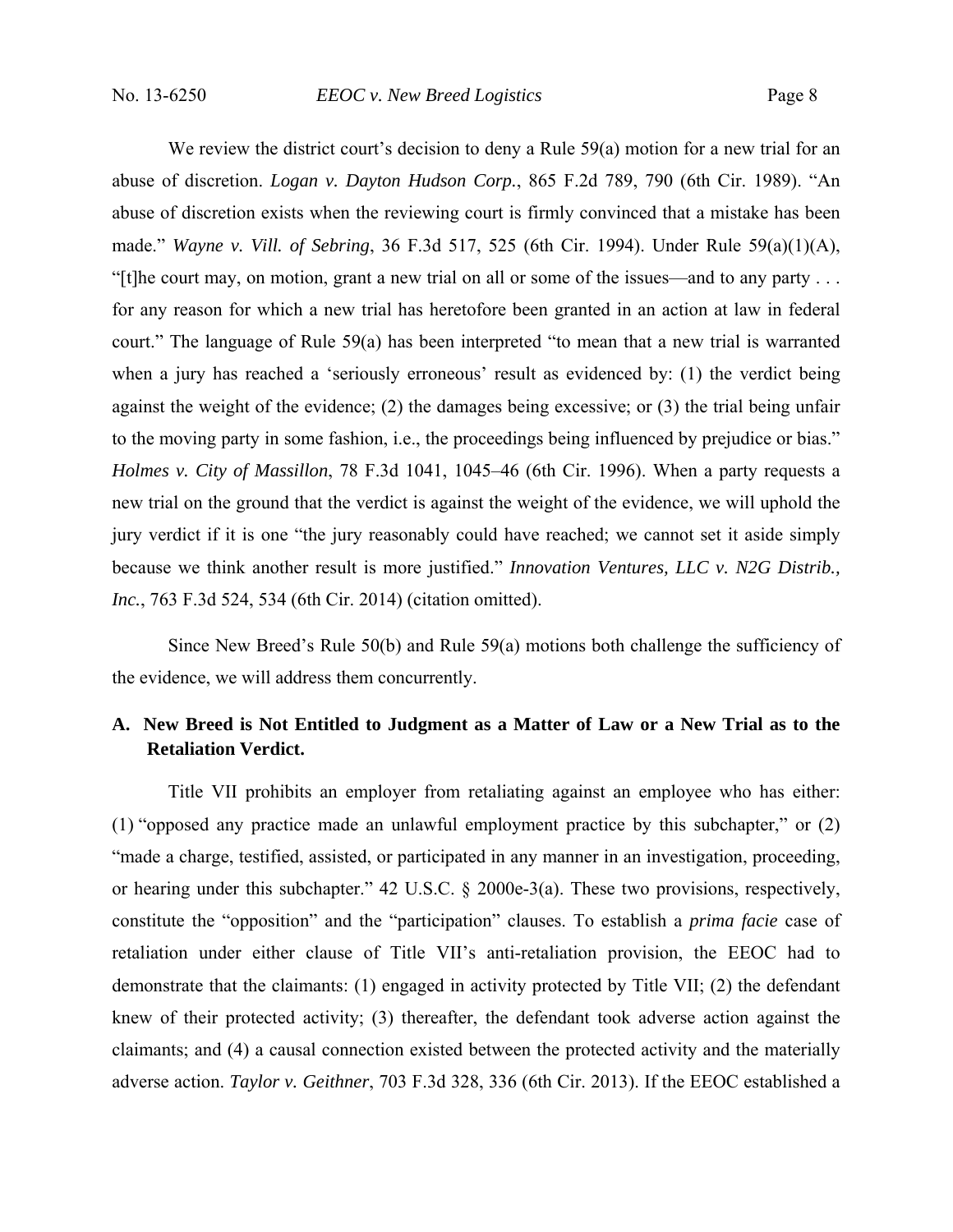We review the district court's decision to deny a Rule 59(a) motion for a new trial for an abuse of discretion. *Logan v. Dayton Hudson Corp.*, 865 F.2d 789, 790 (6th Cir. 1989). "An abuse of discretion exists when the reviewing court is firmly convinced that a mistake has been made." *Wayne v. Vill. of Sebring*, 36 F.3d 517, 525 (6th Cir. 1994). Under Rule 59(a)(1)(A), "[t]he court may, on motion, grant a new trial on all or some of the issues—and to any party . . . for any reason for which a new trial has heretofore been granted in an action at law in federal court." The language of Rule 59(a) has been interpreted "to mean that a new trial is warranted when a jury has reached a 'seriously erroneous' result as evidenced by: (1) the verdict being against the weight of the evidence; (2) the damages being excessive; or (3) the trial being unfair to the moving party in some fashion, i.e., the proceedings being influenced by prejudice or bias." *Holmes v. City of Massillon*, 78 F.3d 1041, 1045–46 (6th Cir. 1996). When a party requests a new trial on the ground that the verdict is against the weight of the evidence, we will uphold the jury verdict if it is one "the jury reasonably could have reached; we cannot set it aside simply because we think another result is more justified." *Innovation Ventures, LLC v. N2G Distrib., Inc.*, 763 F.3d 524, 534 (6th Cir. 2014) (citation omitted).

Since New Breed's Rule 50(b) and Rule 59(a) motions both challenge the sufficiency of the evidence, we will address them concurrently.

## **A. New Breed is Not Entitled to Judgment as a Matter of Law or a New Trial as to the Retaliation Verdict.**

Title VII prohibits an employer from retaliating against an employee who has either: (1) "opposed any practice made an unlawful employment practice by this subchapter," or (2) "made a charge, testified, assisted, or participated in any manner in an investigation, proceeding, or hearing under this subchapter." 42 U.S.C. § 2000e-3(a). These two provisions, respectively, constitute the "opposition" and the "participation" clauses. To establish a *prima facie* case of retaliation under either clause of Title VII's anti-retaliation provision, the EEOC had to demonstrate that the claimants: (1) engaged in activity protected by Title VII; (2) the defendant knew of their protected activity; (3) thereafter, the defendant took adverse action against the claimants; and (4) a causal connection existed between the protected activity and the materially adverse action. *Taylor v. Geithner*, 703 F.3d 328, 336 (6th Cir. 2013). If the EEOC established a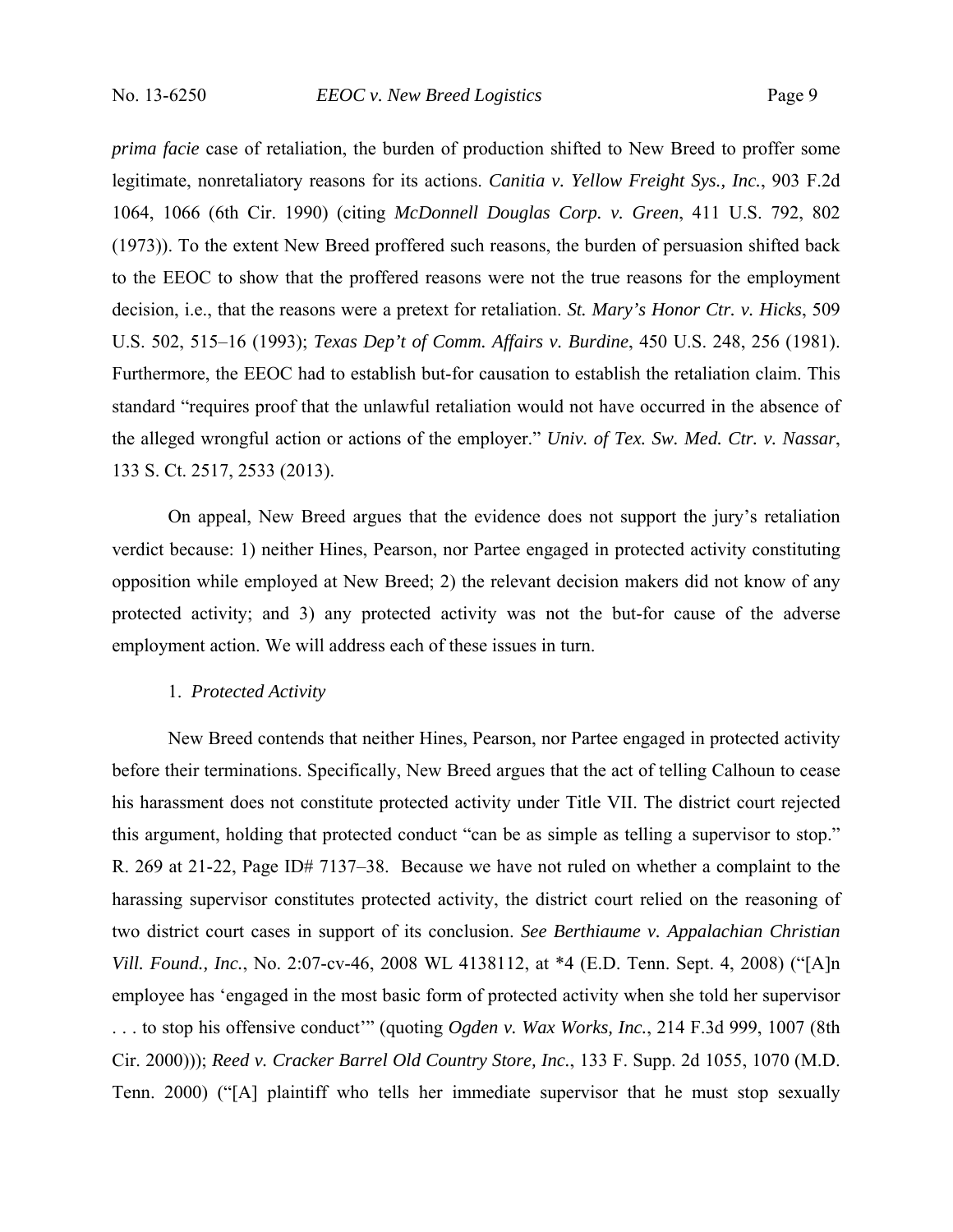*prima facie* case of retaliation, the burden of production shifted to New Breed to proffer some legitimate, nonretaliatory reasons for its actions. *Canitia v. Yellow Freight Sys., Inc.*, 903 F.2d 1064, 1066 (6th Cir. 1990) (citing *McDonnell Douglas Corp. v. Green*, 411 U.S. 792, 802 (1973)). To the extent New Breed proffered such reasons, the burden of persuasion shifted back to the EEOC to show that the proffered reasons were not the true reasons for the employment decision, i.e., that the reasons were a pretext for retaliation. *St. Mary's Honor Ctr. v. Hicks*, 509 U.S. 502, 515–16 (1993); *Texas Dep't of Comm. Affairs v. Burdine*, 450 U.S. 248, 256 (1981). Furthermore, the EEOC had to establish but-for causation to establish the retaliation claim. This standard "requires proof that the unlawful retaliation would not have occurred in the absence of the alleged wrongful action or actions of the employer." *Univ. of Tex. Sw. Med. Ctr. v. Nassar*, 133 S. Ct. 2517, 2533 (2013).

On appeal, New Breed argues that the evidence does not support the jury's retaliation verdict because: 1) neither Hines, Pearson, nor Partee engaged in protected activity constituting opposition while employed at New Breed; 2) the relevant decision makers did not know of any protected activity; and 3) any protected activity was not the but-for cause of the adverse employment action. We will address each of these issues in turn.

#### 1. *Protected Activity*

New Breed contends that neither Hines, Pearson, nor Partee engaged in protected activity before their terminations. Specifically, New Breed argues that the act of telling Calhoun to cease his harassment does not constitute protected activity under Title VII. The district court rejected this argument, holding that protected conduct "can be as simple as telling a supervisor to stop." R. 269 at 21-22, Page ID# 7137–38. Because we have not ruled on whether a complaint to the harassing supervisor constitutes protected activity, the district court relied on the reasoning of two district court cases in support of its conclusion. *See Berthiaume v. Appalachian Christian Vill. Found., Inc.*, No. 2:07-cv-46, 2008 WL 4138112, at \*4 (E.D. Tenn. Sept. 4, 2008) ("[A]n employee has 'engaged in the most basic form of protected activity when she told her supervisor . . . to stop his offensive conduct'" (quoting *Ogden v. Wax Works, Inc.*, 214 F.3d 999, 1007 (8th Cir. 2000))); *Reed v. Cracker Barrel Old Country Store, Inc.*, 133 F. Supp. 2d 1055, 1070 (M.D. Tenn. 2000) ("[A] plaintiff who tells her immediate supervisor that he must stop sexually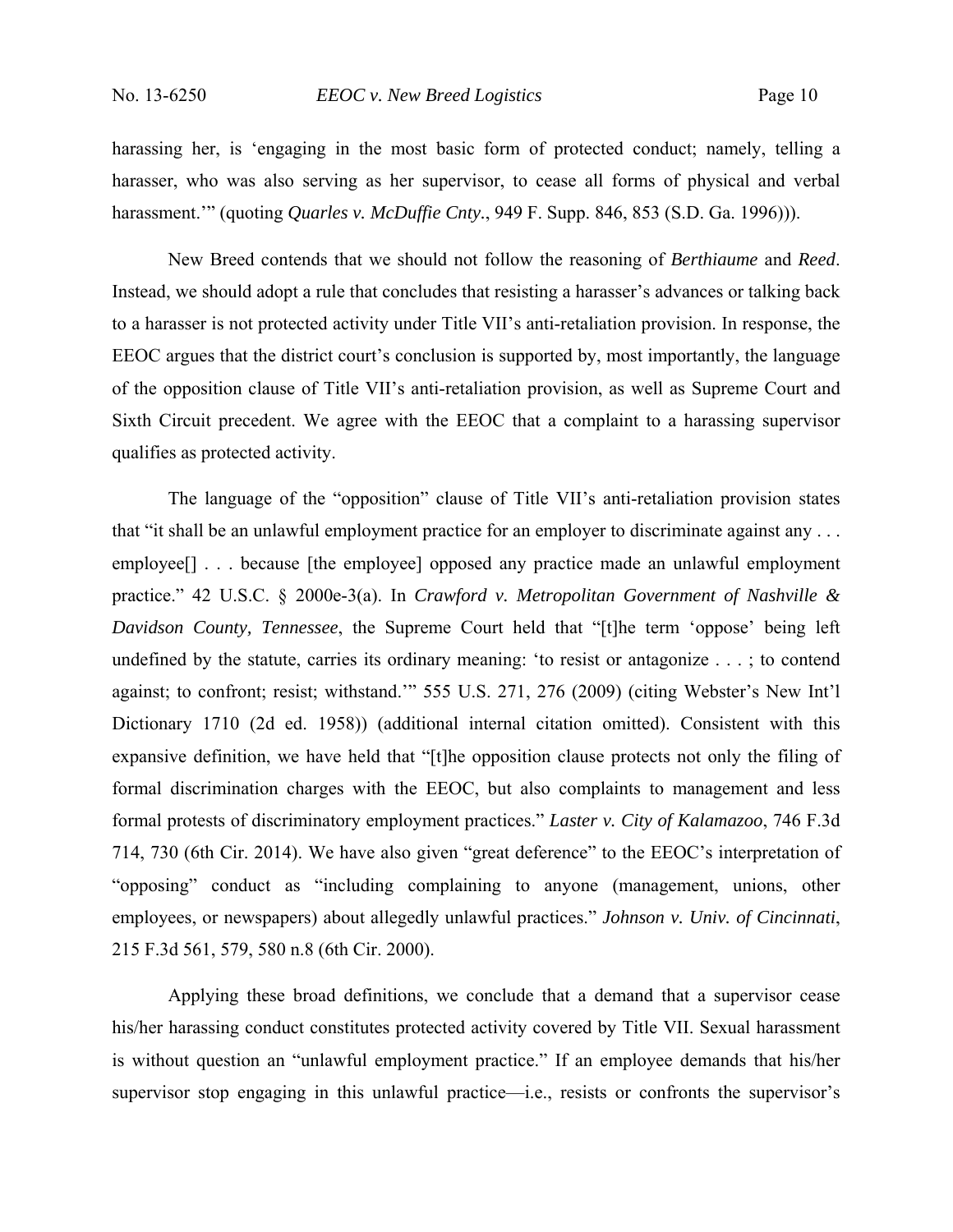harassing her, is 'engaging in the most basic form of protected conduct; namely, telling a harasser, who was also serving as her supervisor, to cease all forms of physical and verbal harassment.'" (quoting *Quarles v. McDuffie Cnty.*, 949 F. Supp. 846, 853 (S.D. Ga. 1996))).

New Breed contends that we should not follow the reasoning of *Berthiaume* and *Reed*. Instead, we should adopt a rule that concludes that resisting a harasser's advances or talking back to a harasser is not protected activity under Title VII's anti-retaliation provision. In response, the EEOC argues that the district court's conclusion is supported by, most importantly, the language of the opposition clause of Title VII's anti-retaliation provision, as well as Supreme Court and Sixth Circuit precedent. We agree with the EEOC that a complaint to a harassing supervisor qualifies as protected activity.

The language of the "opposition" clause of Title VII's anti-retaliation provision states that "it shall be an unlawful employment practice for an employer to discriminate against any . . . employee<sup>[]</sup> . . . because [the employee] opposed any practice made an unlawful employment practice." 42 U.S.C. § 2000e-3(a). In *Crawford v. Metropolitan Government of Nashville & Davidson County, Tennessee*, the Supreme Court held that "[t]he term 'oppose' being left undefined by the statute, carries its ordinary meaning: 'to resist or antagonize . . . ; to contend against; to confront; resist; withstand.'" 555 U.S. 271, 276 (2009) (citing Webster's New Int'l Dictionary 1710 (2d ed. 1958)) (additional internal citation omitted). Consistent with this expansive definition, we have held that "[t]he opposition clause protects not only the filing of formal discrimination charges with the EEOC, but also complaints to management and less formal protests of discriminatory employment practices." *Laster v. City of Kalamazoo*, 746 F.3d 714, 730 (6th Cir. 2014). We have also given "great deference" to the EEOC's interpretation of "opposing" conduct as "including complaining to anyone (management, unions, other employees, or newspapers) about allegedly unlawful practices." *Johnson v. Univ. of Cincinnati*, 215 F.3d 561, 579, 580 n.8 (6th Cir. 2000).

Applying these broad definitions, we conclude that a demand that a supervisor cease his/her harassing conduct constitutes protected activity covered by Title VII. Sexual harassment is without question an "unlawful employment practice." If an employee demands that his/her supervisor stop engaging in this unlawful practice—i.e., resists or confronts the supervisor's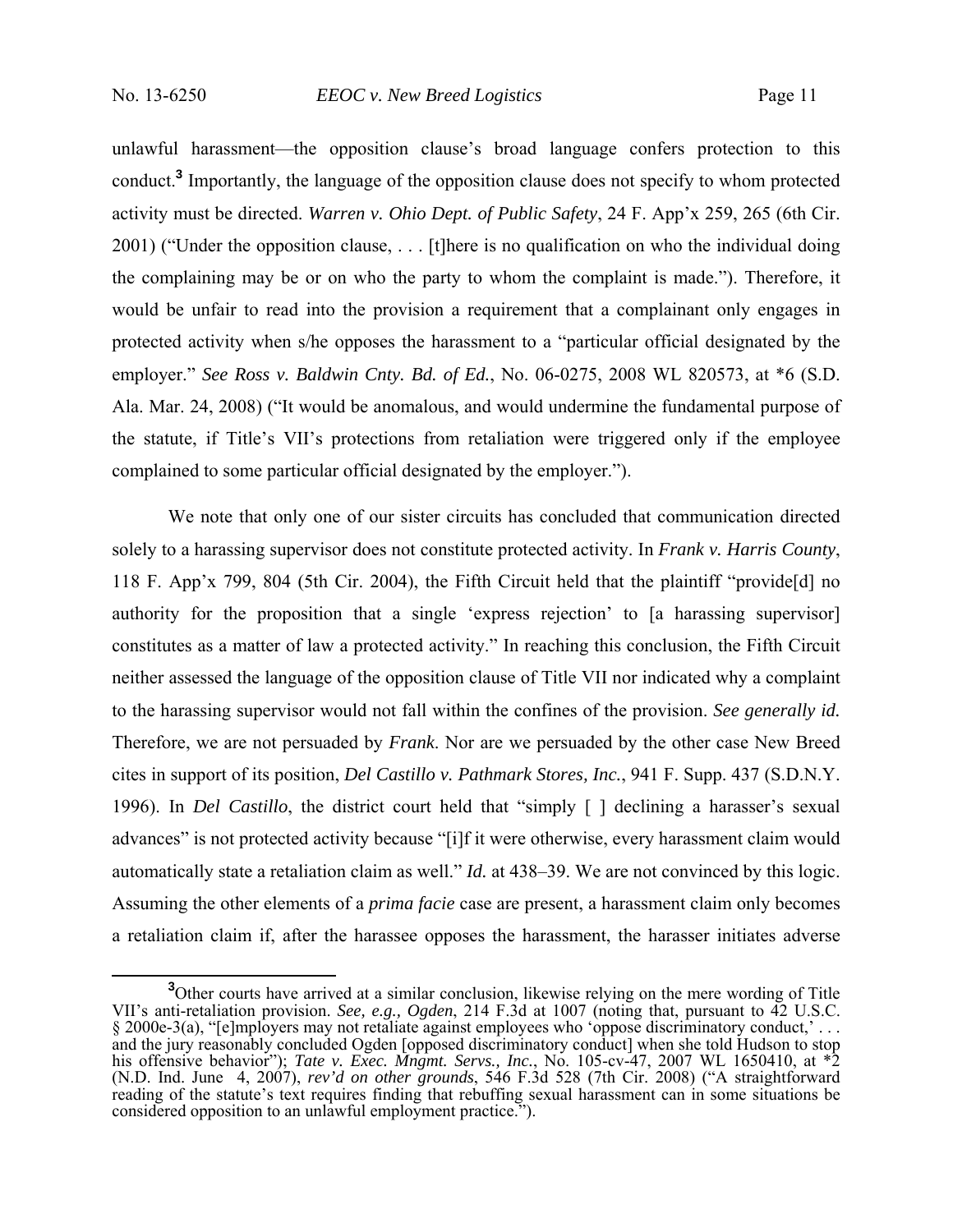unlawful harassment—the opposition clause's broad language confers protection to this conduct.**<sup>3</sup>** Importantly, the language of the opposition clause does not specify to whom protected activity must be directed. *Warren v. Ohio Dept. of Public Safety*, 24 F. App'x 259, 265 (6th Cir. 2001) ("Under the opposition clause, . . . [t]here is no qualification on who the individual doing the complaining may be or on who the party to whom the complaint is made."). Therefore, it would be unfair to read into the provision a requirement that a complainant only engages in protected activity when s/he opposes the harassment to a "particular official designated by the employer." *See Ross v. Baldwin Cnty. Bd. of Ed.*, No. 06-0275, 2008 WL 820573, at \*6 (S.D. Ala. Mar. 24, 2008) ("It would be anomalous, and would undermine the fundamental purpose of the statute, if Title's VII's protections from retaliation were triggered only if the employee complained to some particular official designated by the employer.").

We note that only one of our sister circuits has concluded that communication directed solely to a harassing supervisor does not constitute protected activity. In *Frank v. Harris County*, 118 F. App'x 799, 804 (5th Cir. 2004), the Fifth Circuit held that the plaintiff "provide[d] no authority for the proposition that a single 'express rejection' to [a harassing supervisor] constitutes as a matter of law a protected activity." In reaching this conclusion, the Fifth Circuit neither assessed the language of the opposition clause of Title VII nor indicated why a complaint to the harassing supervisor would not fall within the confines of the provision. *See generally id.*  Therefore, we are not persuaded by *Frank*. Nor are we persuaded by the other case New Breed cites in support of its position, *Del Castillo v. Pathmark Stores, Inc.*, 941 F. Supp. 437 (S.D.N.Y. 1996). In *Del Castillo*, the district court held that "simply [ ] declining a harasser's sexual advances" is not protected activity because "[i]f it were otherwise, every harassment claim would automatically state a retaliation claim as well." *Id.* at 438–39. We are not convinced by this logic. Assuming the other elements of a *prima facie* case are present, a harassment claim only becomes a retaliation claim if, after the harassee opposes the harassment, the harasser initiates adverse

<sup>&</sup>lt;sup>3</sup>Other courts have arrived at a similar conclusion, likewise relying on the mere wording of Title VII's anti-retaliation provision. *See, e.g., Ogden*, 214 F.3d at 1007 (noting that, pursuant to 42 U.S.C. § 2000e-3(a), "[e]mployers may not retaliate against employees who 'oppose discriminatory conduct,' . . . and the jury reasonably concluded Ogden [opposed discriminatory conduct] when she told Hudson to stop his offensive behavior"); *Tate v. Exec. Mngmt. Servs., Inc.*, No. 105-cv-47, 2007 WL 1650410, at \*2 (N.D. Ind. June 4, 2007), *rev'd on other grounds*, 546 F.3d 528 (7th Cir. 2008) ("A straightforward reading of the statute's text requires finding that rebuffing sexual harassment can in some situations be considered opposition to an unlawful employment practice.").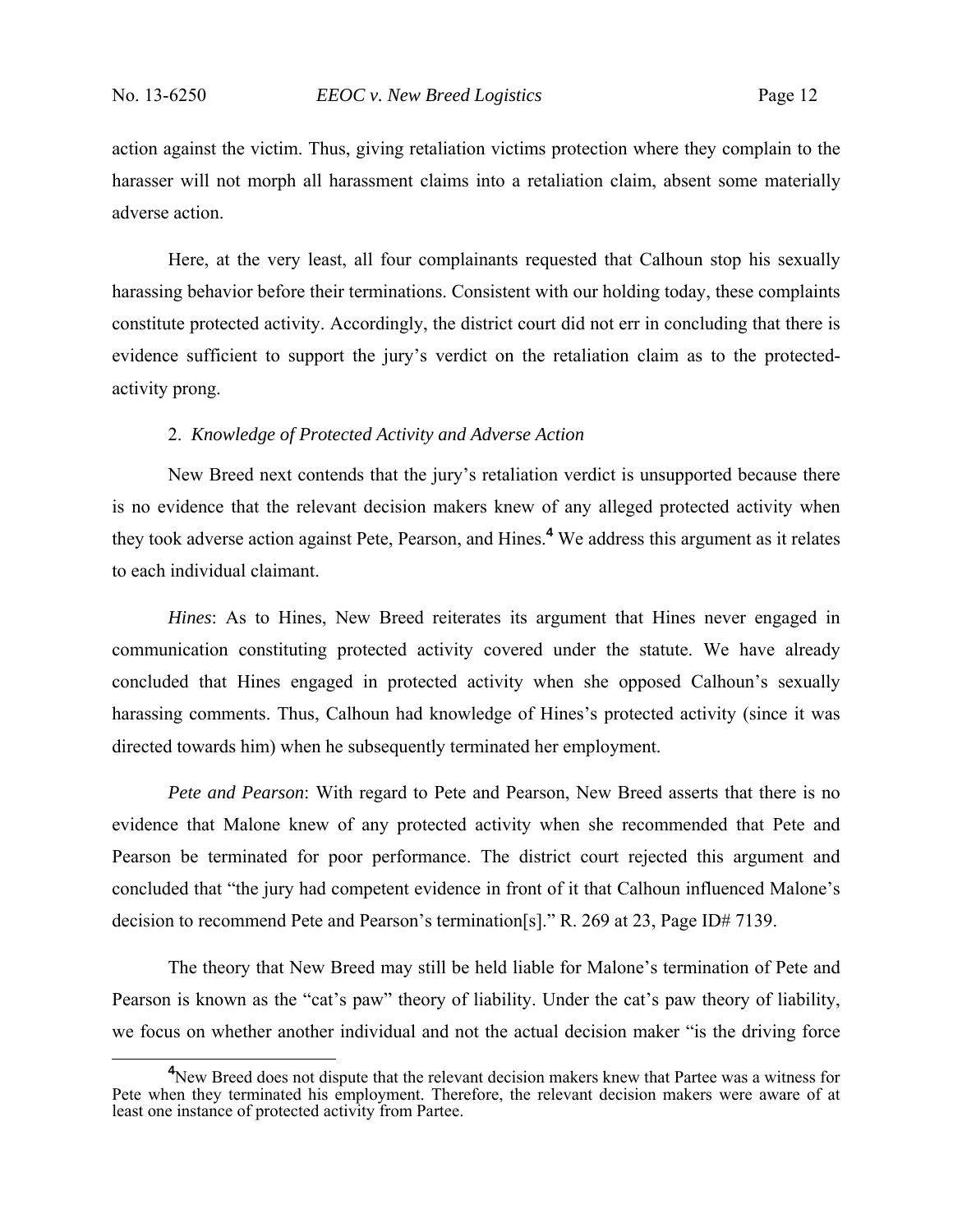action against the victim. Thus, giving retaliation victims protection where they complain to the harasser will not morph all harassment claims into a retaliation claim, absent some materially adverse action.

Here, at the very least, all four complainants requested that Calhoun stop his sexually harassing behavior before their terminations. Consistent with our holding today, these complaints constitute protected activity. Accordingly, the district court did not err in concluding that there is evidence sufficient to support the jury's verdict on the retaliation claim as to the protectedactivity prong.

#### 2. *Knowledge of Protected Activity and Adverse Action*

New Breed next contends that the jury's retaliation verdict is unsupported because there is no evidence that the relevant decision makers knew of any alleged protected activity when they took adverse action against Pete, Pearson, and Hines.**<sup>4</sup>** We address this argument as it relates to each individual claimant.

*Hines*: As to Hines, New Breed reiterates its argument that Hines never engaged in communication constituting protected activity covered under the statute. We have already concluded that Hines engaged in protected activity when she opposed Calhoun's sexually harassing comments. Thus, Calhoun had knowledge of Hines's protected activity (since it was directed towards him) when he subsequently terminated her employment.

*Pete and Pearson*: With regard to Pete and Pearson, New Breed asserts that there is no evidence that Malone knew of any protected activity when she recommended that Pete and Pearson be terminated for poor performance. The district court rejected this argument and concluded that "the jury had competent evidence in front of it that Calhoun influenced Malone's decision to recommend Pete and Pearson's termination[s]." R. 269 at 23, Page ID# 7139.

The theory that New Breed may still be held liable for Malone's termination of Pete and Pearson is known as the "cat's paw" theory of liability. Under the cat's paw theory of liability, we focus on whether another individual and not the actual decision maker "is the driving force

**<sup>4</sup>** <sup>4</sup>New Breed does not dispute that the relevant decision makers knew that Partee was a witness for Pete when they terminated his employment. Therefore, the relevant decision makers were aware of at least one instance of protected activity from Partee.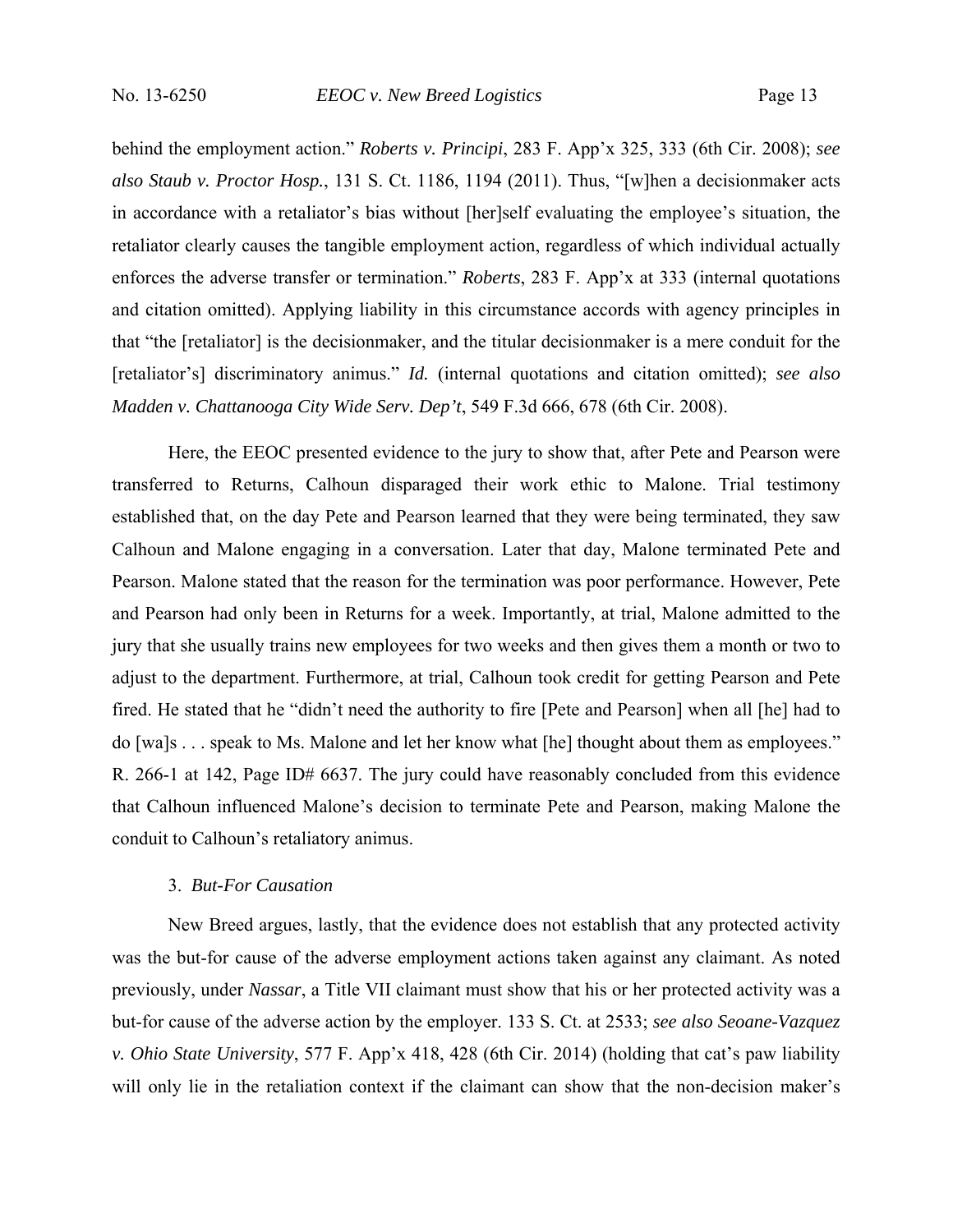behind the employment action." *Roberts v. Principi*, 283 F. App'x 325, 333 (6th Cir. 2008); *see also Staub v. Proctor Hosp.*, 131 S. Ct. 1186, 1194 (2011). Thus, "[w]hen a decisionmaker acts in accordance with a retaliator's bias without [her]self evaluating the employee's situation, the retaliator clearly causes the tangible employment action, regardless of which individual actually enforces the adverse transfer or termination." *Roberts*, 283 F. App'x at 333 (internal quotations and citation omitted). Applying liability in this circumstance accords with agency principles in that "the [retaliator] is the decisionmaker, and the titular decisionmaker is a mere conduit for the [retaliator's] discriminatory animus." *Id.* (internal quotations and citation omitted); *see also Madden v. Chattanooga City Wide Serv. Dep't*, 549 F.3d 666, 678 (6th Cir. 2008).

Here, the EEOC presented evidence to the jury to show that, after Pete and Pearson were transferred to Returns, Calhoun disparaged their work ethic to Malone. Trial testimony established that, on the day Pete and Pearson learned that they were being terminated, they saw Calhoun and Malone engaging in a conversation. Later that day, Malone terminated Pete and Pearson. Malone stated that the reason for the termination was poor performance. However, Pete and Pearson had only been in Returns for a week. Importantly, at trial, Malone admitted to the jury that she usually trains new employees for two weeks and then gives them a month or two to adjust to the department. Furthermore, at trial, Calhoun took credit for getting Pearson and Pete fired. He stated that he "didn't need the authority to fire [Pete and Pearson] when all [he] had to do [wa]s . . . speak to Ms. Malone and let her know what [he] thought about them as employees." R. 266-1 at 142, Page ID# 6637. The jury could have reasonably concluded from this evidence that Calhoun influenced Malone's decision to terminate Pete and Pearson, making Malone the conduit to Calhoun's retaliatory animus.

#### 3. *But-For Causation*

New Breed argues, lastly, that the evidence does not establish that any protected activity was the but-for cause of the adverse employment actions taken against any claimant. As noted previously, under *Nassar*, a Title VII claimant must show that his or her protected activity was a but-for cause of the adverse action by the employer. 133 S. Ct. at 2533; *see also Seoane-Vazquez v. Ohio State University*, 577 F. App'x 418, 428 (6th Cir. 2014) (holding that cat's paw liability will only lie in the retaliation context if the claimant can show that the non-decision maker's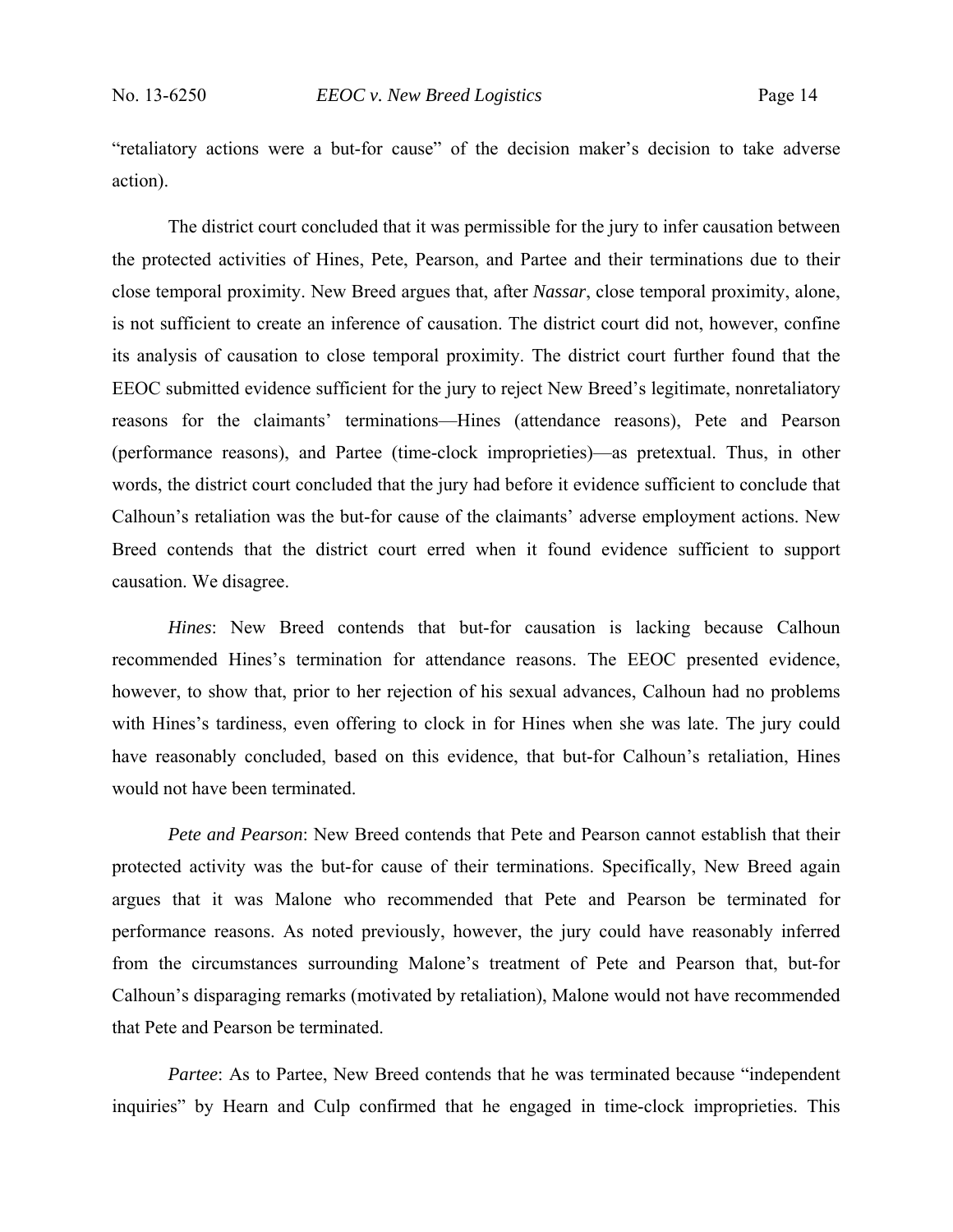"retaliatory actions were a but-for cause" of the decision maker's decision to take adverse action).

The district court concluded that it was permissible for the jury to infer causation between the protected activities of Hines, Pete, Pearson, and Partee and their terminations due to their close temporal proximity. New Breed argues that, after *Nassar*, close temporal proximity, alone, is not sufficient to create an inference of causation. The district court did not, however, confine its analysis of causation to close temporal proximity. The district court further found that the EEOC submitted evidence sufficient for the jury to reject New Breed's legitimate, nonretaliatory reasons for the claimants' terminations—Hines (attendance reasons), Pete and Pearson (performance reasons), and Partee (time-clock improprieties)—as pretextual. Thus, in other words, the district court concluded that the jury had before it evidence sufficient to conclude that Calhoun's retaliation was the but-for cause of the claimants' adverse employment actions. New Breed contends that the district court erred when it found evidence sufficient to support causation. We disagree.

*Hines*: New Breed contends that but-for causation is lacking because Calhoun recommended Hines's termination for attendance reasons. The EEOC presented evidence, however, to show that, prior to her rejection of his sexual advances, Calhoun had no problems with Hines's tardiness, even offering to clock in for Hines when she was late. The jury could have reasonably concluded, based on this evidence, that but-for Calhoun's retaliation, Hines would not have been terminated.

*Pete and Pearson*: New Breed contends that Pete and Pearson cannot establish that their protected activity was the but-for cause of their terminations. Specifically, New Breed again argues that it was Malone who recommended that Pete and Pearson be terminated for performance reasons. As noted previously, however, the jury could have reasonably inferred from the circumstances surrounding Malone's treatment of Pete and Pearson that, but-for Calhoun's disparaging remarks (motivated by retaliation), Malone would not have recommended that Pete and Pearson be terminated.

*Partee*: As to Partee, New Breed contends that he was terminated because "independent" inquiries" by Hearn and Culp confirmed that he engaged in time-clock improprieties. This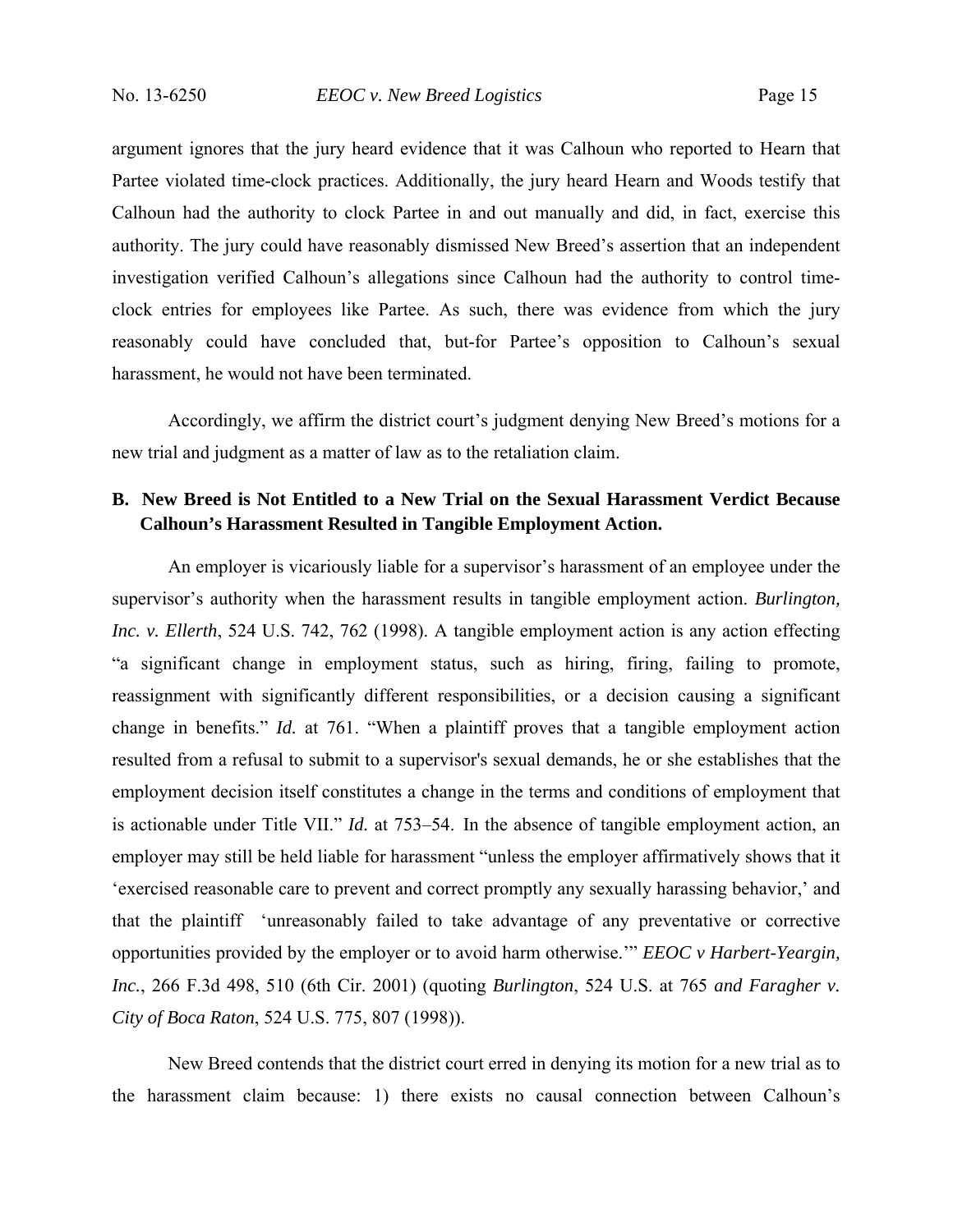argument ignores that the jury heard evidence that it was Calhoun who reported to Hearn that Partee violated time-clock practices. Additionally, the jury heard Hearn and Woods testify that Calhoun had the authority to clock Partee in and out manually and did, in fact, exercise this authority. The jury could have reasonably dismissed New Breed's assertion that an independent investigation verified Calhoun's allegations since Calhoun had the authority to control timeclock entries for employees like Partee. As such, there was evidence from which the jury reasonably could have concluded that, but-for Partee's opposition to Calhoun's sexual harassment, he would not have been terminated.

 Accordingly, we affirm the district court's judgment denying New Breed's motions for a new trial and judgment as a matter of law as to the retaliation claim.

## **B. New Breed is Not Entitled to a New Trial on the Sexual Harassment Verdict Because Calhoun's Harassment Resulted in Tangible Employment Action.**

An employer is vicariously liable for a supervisor's harassment of an employee under the supervisor's authority when the harassment results in tangible employment action. *Burlington, Inc. v. Ellerth*, 524 U.S. 742, 762 (1998). A tangible employment action is any action effecting "a significant change in employment status, such as hiring, firing, failing to promote, reassignment with significantly different responsibilities, or a decision causing a significant change in benefits." *Id.* at 761. "When a plaintiff proves that a tangible employment action resulted from a refusal to submit to a supervisor's sexual demands, he or she establishes that the employment decision itself constitutes a change in the terms and conditions of employment that is actionable under Title VII." *Id.* at 753–54. In the absence of tangible employment action, an employer may still be held liable for harassment "unless the employer affirmatively shows that it 'exercised reasonable care to prevent and correct promptly any sexually harassing behavior,' and that the plaintiff 'unreasonably failed to take advantage of any preventative or corrective opportunities provided by the employer or to avoid harm otherwise.'" *EEOC v Harbert-Yeargin, Inc.*, 266 F.3d 498, 510 (6th Cir. 2001) (quoting *Burlington*, 524 U.S. at 765 *and Faragher v. City of Boca Raton*, 524 U.S. 775, 807 (1998)).

New Breed contends that the district court erred in denying its motion for a new trial as to the harassment claim because: 1) there exists no causal connection between Calhoun's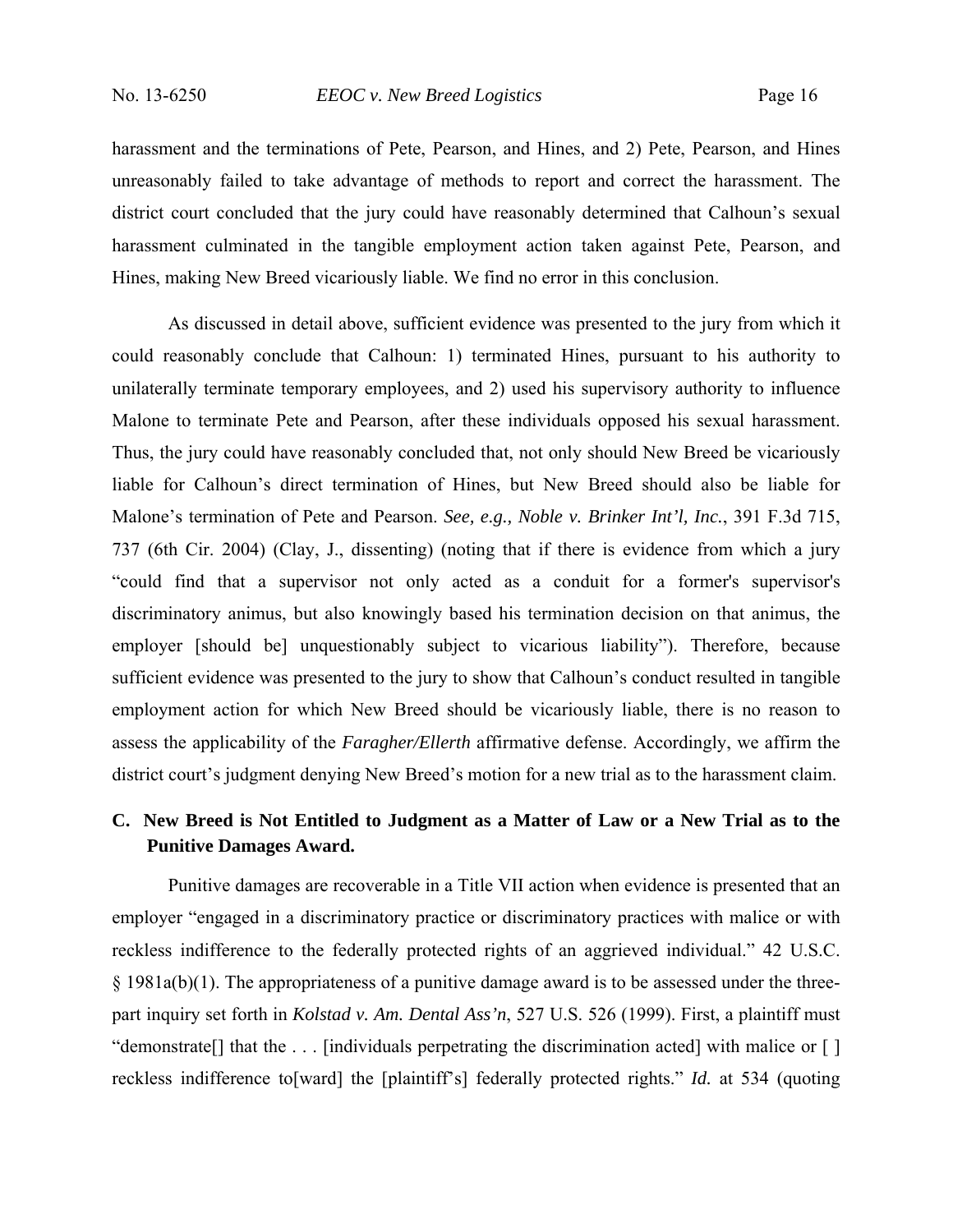harassment and the terminations of Pete, Pearson, and Hines, and 2) Pete, Pearson, and Hines unreasonably failed to take advantage of methods to report and correct the harassment. The district court concluded that the jury could have reasonably determined that Calhoun's sexual harassment culminated in the tangible employment action taken against Pete, Pearson, and Hines, making New Breed vicariously liable. We find no error in this conclusion.

As discussed in detail above, sufficient evidence was presented to the jury from which it could reasonably conclude that Calhoun: 1) terminated Hines, pursuant to his authority to unilaterally terminate temporary employees, and 2) used his supervisory authority to influence Malone to terminate Pete and Pearson, after these individuals opposed his sexual harassment. Thus, the jury could have reasonably concluded that, not only should New Breed be vicariously liable for Calhoun's direct termination of Hines, but New Breed should also be liable for Malone's termination of Pete and Pearson. *See, e.g., Noble v. Brinker Int'l, Inc.*, 391 F.3d 715, 737 (6th Cir. 2004) (Clay, J., dissenting) (noting that if there is evidence from which a jury "could find that a supervisor not only acted as a conduit for a former's supervisor's discriminatory animus, but also knowingly based his termination decision on that animus, the employer [should be] unquestionably subject to vicarious liability"). Therefore, because sufficient evidence was presented to the jury to show that Calhoun's conduct resulted in tangible employment action for which New Breed should be vicariously liable, there is no reason to assess the applicability of the *Faragher/Ellerth* affirmative defense. Accordingly, we affirm the district court's judgment denying New Breed's motion for a new trial as to the harassment claim.

# **C. New Breed is Not Entitled to Judgment as a Matter of Law or a New Trial as to the Punitive Damages Award.**

Punitive damages are recoverable in a Title VII action when evidence is presented that an employer "engaged in a discriminatory practice or discriminatory practices with malice or with reckless indifference to the federally protected rights of an aggrieved individual." 42 U.S.C. § 1981a(b)(1). The appropriateness of a punitive damage award is to be assessed under the threepart inquiry set forth in *Kolstad v. Am. Dental Ass'n*, 527 U.S. 526 (1999). First, a plaintiff must "demonstrate[] that the . . . [individuals perpetrating the discrimination acted] with malice or [ ] reckless indifference to[ward] the [plaintiff's] federally protected rights." *Id.* at 534 (quoting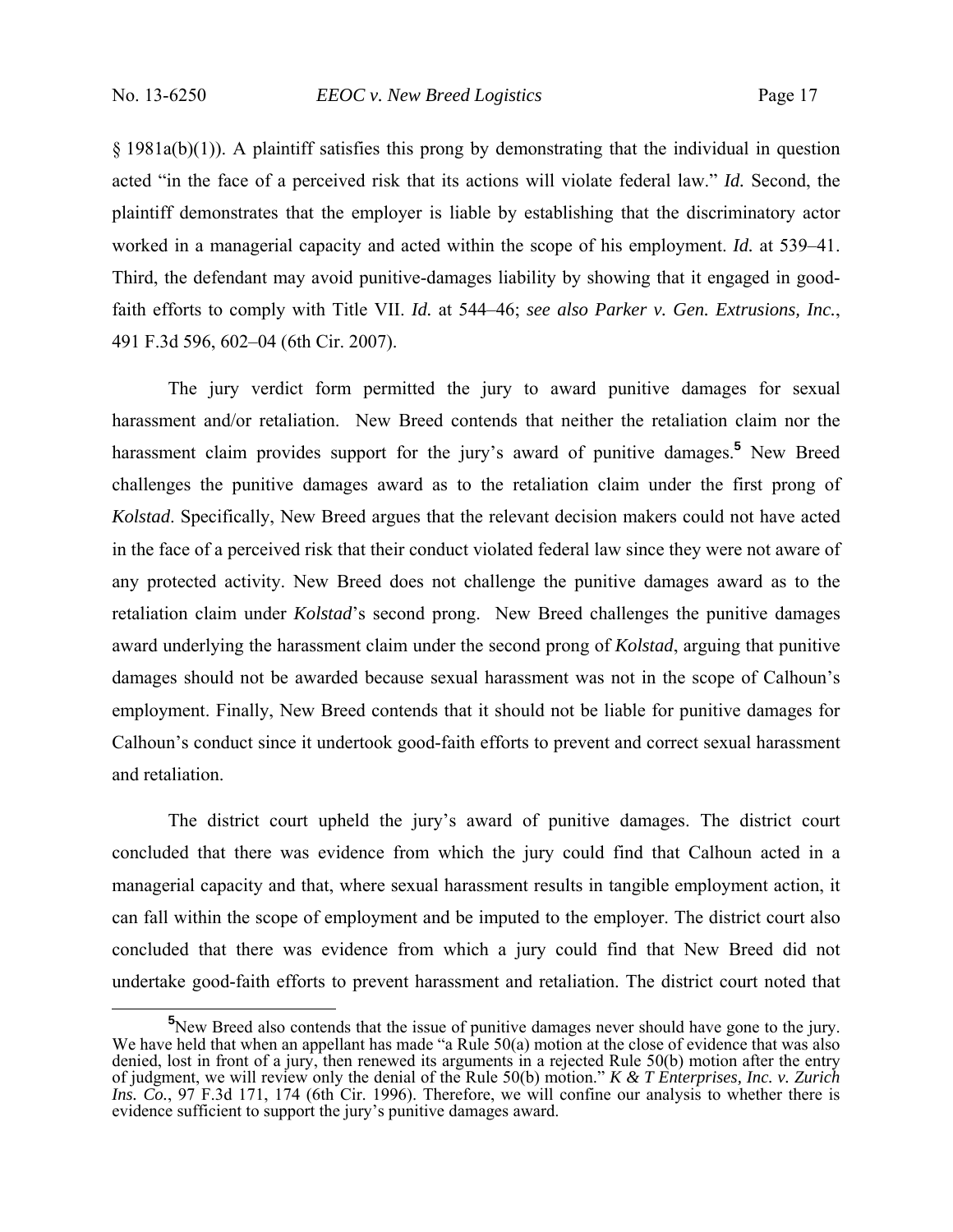§ 1981a(b)(1)). A plaintiff satisfies this prong by demonstrating that the individual in question acted "in the face of a perceived risk that its actions will violate federal law." *Id.* Second, the plaintiff demonstrates that the employer is liable by establishing that the discriminatory actor worked in a managerial capacity and acted within the scope of his employment. *Id.* at 539–41. Third, the defendant may avoid punitive-damages liability by showing that it engaged in goodfaith efforts to comply with Title VII. *Id.* at 544–46; *see also Parker v. Gen. Extrusions, Inc.*, 491 F.3d 596, 602–04 (6th Cir. 2007).

The jury verdict form permitted the jury to award punitive damages for sexual harassment and/or retaliation. New Breed contends that neither the retaliation claim nor the harassment claim provides support for the jury's award of punitive damages.**<sup>5</sup>** New Breed challenges the punitive damages award as to the retaliation claim under the first prong of *Kolstad*. Specifically, New Breed argues that the relevant decision makers could not have acted in the face of a perceived risk that their conduct violated federal law since they were not aware of any protected activity. New Breed does not challenge the punitive damages award as to the retaliation claim under *Kolstad*'s second prong. New Breed challenges the punitive damages award underlying the harassment claim under the second prong of *Kolstad*, arguing that punitive damages should not be awarded because sexual harassment was not in the scope of Calhoun's employment. Finally, New Breed contends that it should not be liable for punitive damages for Calhoun's conduct since it undertook good-faith efforts to prevent and correct sexual harassment and retaliation.

The district court upheld the jury's award of punitive damages. The district court concluded that there was evidence from which the jury could find that Calhoun acted in a managerial capacity and that, where sexual harassment results in tangible employment action, it can fall within the scope of employment and be imputed to the employer. The district court also concluded that there was evidence from which a jury could find that New Breed did not undertake good-faith efforts to prevent harassment and retaliation. The district court noted that

**<sup>5</sup>** <sup>5</sup>New Breed also contends that the issue of punitive damages never should have gone to the jury. We have held that when an appellant has made "a Rule 50(a) motion at the close of evidence that was also denied, lost in front of a jury, then renewed its arguments in a rejected Rule 50(b) motion after the entry of judgment, we will review only the denial of the Rule 50(b) motion." *K & T Enterprises, Inc. v. Zurich Ins. Co.*, 97 F.3d 171, 174 (6th Cir. 1996). Therefore, we will confine our analysis to whether there is evidence sufficient to support the jury's punitive damages award.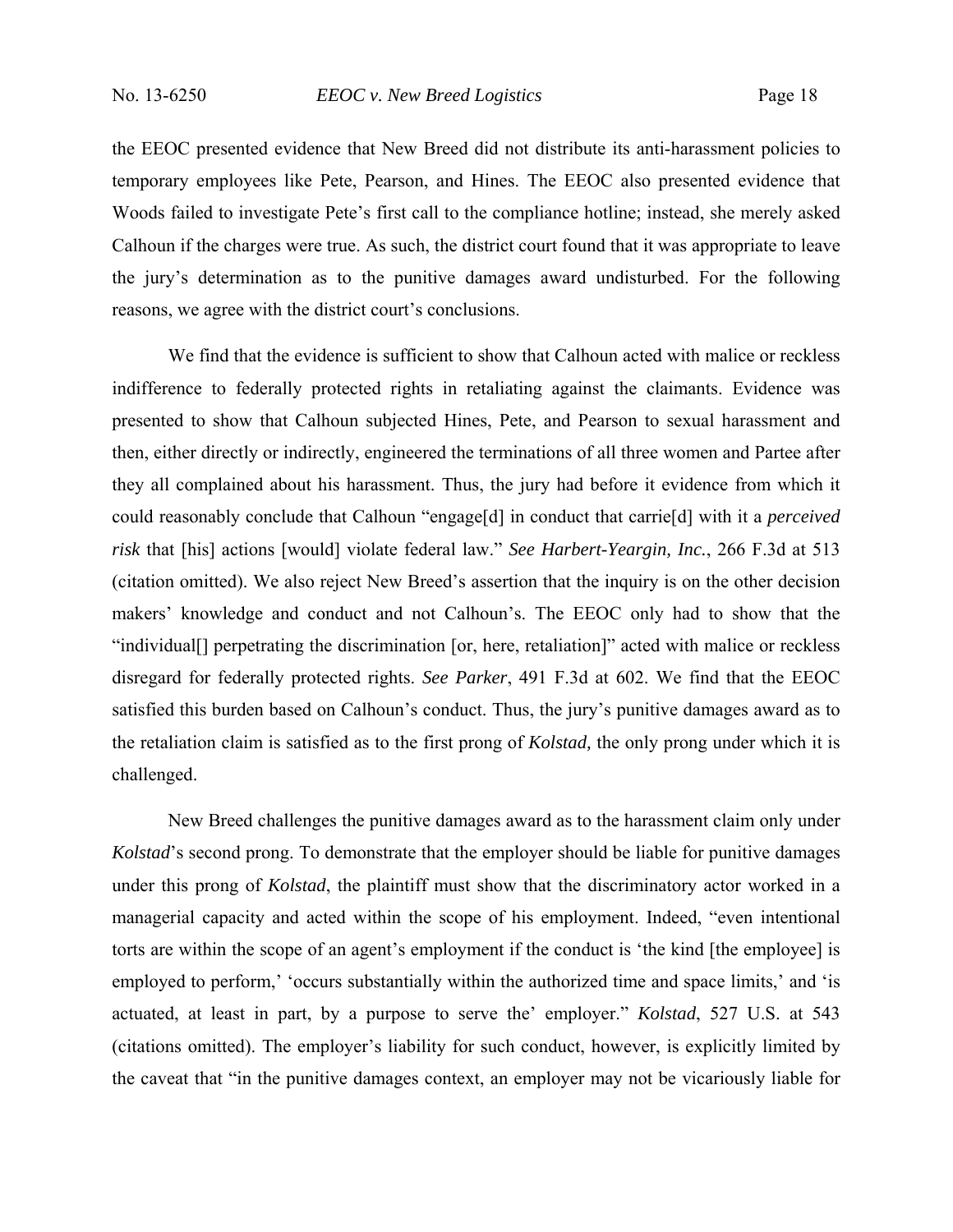the EEOC presented evidence that New Breed did not distribute its anti-harassment policies to temporary employees like Pete, Pearson, and Hines. The EEOC also presented evidence that Woods failed to investigate Pete's first call to the compliance hotline; instead, she merely asked Calhoun if the charges were true. As such, the district court found that it was appropriate to leave the jury's determination as to the punitive damages award undisturbed. For the following reasons, we agree with the district court's conclusions.

 We find that the evidence is sufficient to show that Calhoun acted with malice or reckless indifference to federally protected rights in retaliating against the claimants. Evidence was presented to show that Calhoun subjected Hines, Pete, and Pearson to sexual harassment and then, either directly or indirectly, engineered the terminations of all three women and Partee after they all complained about his harassment. Thus, the jury had before it evidence from which it could reasonably conclude that Calhoun "engage[d] in conduct that carrie[d] with it a *perceived risk* that [his] actions [would] violate federal law." *See Harbert-Yeargin, Inc.*, 266 F.3d at 513 (citation omitted). We also reject New Breed's assertion that the inquiry is on the other decision makers' knowledge and conduct and not Calhoun's. The EEOC only had to show that the "individual[] perpetrating the discrimination [or, here, retaliation]" acted with malice or reckless disregard for federally protected rights. *See Parker*, 491 F.3d at 602. We find that the EEOC satisfied this burden based on Calhoun's conduct. Thus, the jury's punitive damages award as to the retaliation claim is satisfied as to the first prong of *Kolstad,* the only prong under which it is challenged.

 New Breed challenges the punitive damages award as to the harassment claim only under *Kolstad*'s second prong. To demonstrate that the employer should be liable for punitive damages under this prong of *Kolstad*, the plaintiff must show that the discriminatory actor worked in a managerial capacity and acted within the scope of his employment. Indeed, "even intentional torts are within the scope of an agent's employment if the conduct is 'the kind [the employee] is employed to perform,' 'occurs substantially within the authorized time and space limits,' and 'is actuated, at least in part, by a purpose to serve the' employer." *Kolstad*, 527 U.S. at 543 (citations omitted). The employer's liability for such conduct, however, is explicitly limited by the caveat that "in the punitive damages context, an employer may not be vicariously liable for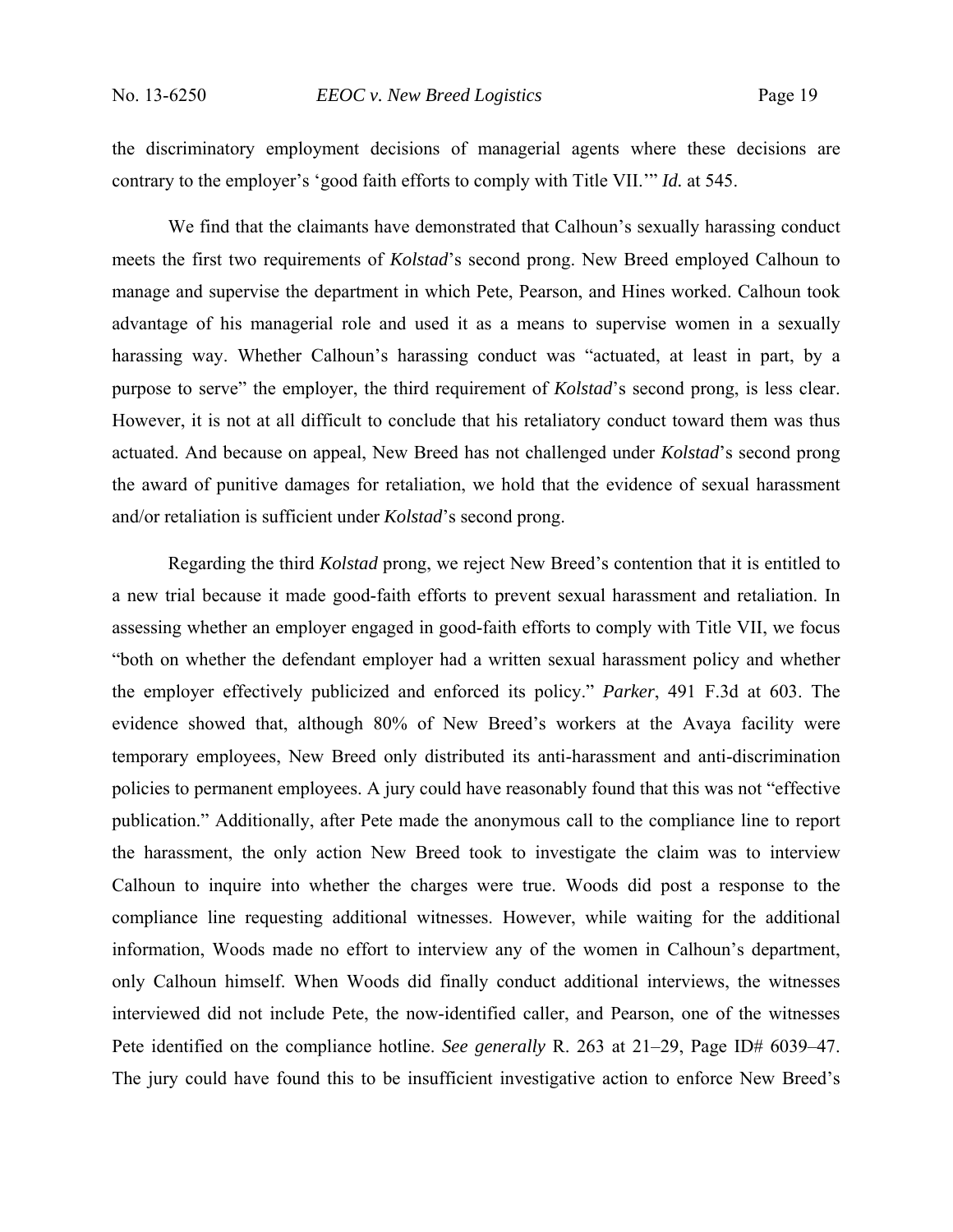the discriminatory employment decisions of managerial agents where these decisions are contrary to the employer's 'good faith efforts to comply with Title VII.'" *Id.* at 545.

We find that the claimants have demonstrated that Calhoun's sexually harassing conduct meets the first two requirements of *Kolstad*'s second prong. New Breed employed Calhoun to manage and supervise the department in which Pete, Pearson, and Hines worked. Calhoun took advantage of his managerial role and used it as a means to supervise women in a sexually harassing way. Whether Calhoun's harassing conduct was "actuated, at least in part, by a purpose to serve" the employer, the third requirement of *Kolstad*'s second prong, is less clear. However, it is not at all difficult to conclude that his retaliatory conduct toward them was thus actuated. And because on appeal, New Breed has not challenged under *Kolstad*'s second prong the award of punitive damages for retaliation, we hold that the evidence of sexual harassment and/or retaliation is sufficient under *Kolstad*'s second prong.

Regarding the third *Kolstad* prong, we reject New Breed's contention that it is entitled to a new trial because it made good-faith efforts to prevent sexual harassment and retaliation. In assessing whether an employer engaged in good-faith efforts to comply with Title VII, we focus "both on whether the defendant employer had a written sexual harassment policy and whether the employer effectively publicized and enforced its policy." *Parker*, 491 F.3d at 603. The evidence showed that, although 80% of New Breed's workers at the Avaya facility were temporary employees, New Breed only distributed its anti-harassment and anti-discrimination policies to permanent employees. A jury could have reasonably found that this was not "effective publication." Additionally, after Pete made the anonymous call to the compliance line to report the harassment, the only action New Breed took to investigate the claim was to interview Calhoun to inquire into whether the charges were true. Woods did post a response to the compliance line requesting additional witnesses. However, while waiting for the additional information, Woods made no effort to interview any of the women in Calhoun's department, only Calhoun himself. When Woods did finally conduct additional interviews, the witnesses interviewed did not include Pete, the now-identified caller, and Pearson, one of the witnesses Pete identified on the compliance hotline. *See generally* R. 263 at 21–29, Page ID# 6039–47. The jury could have found this to be insufficient investigative action to enforce New Breed's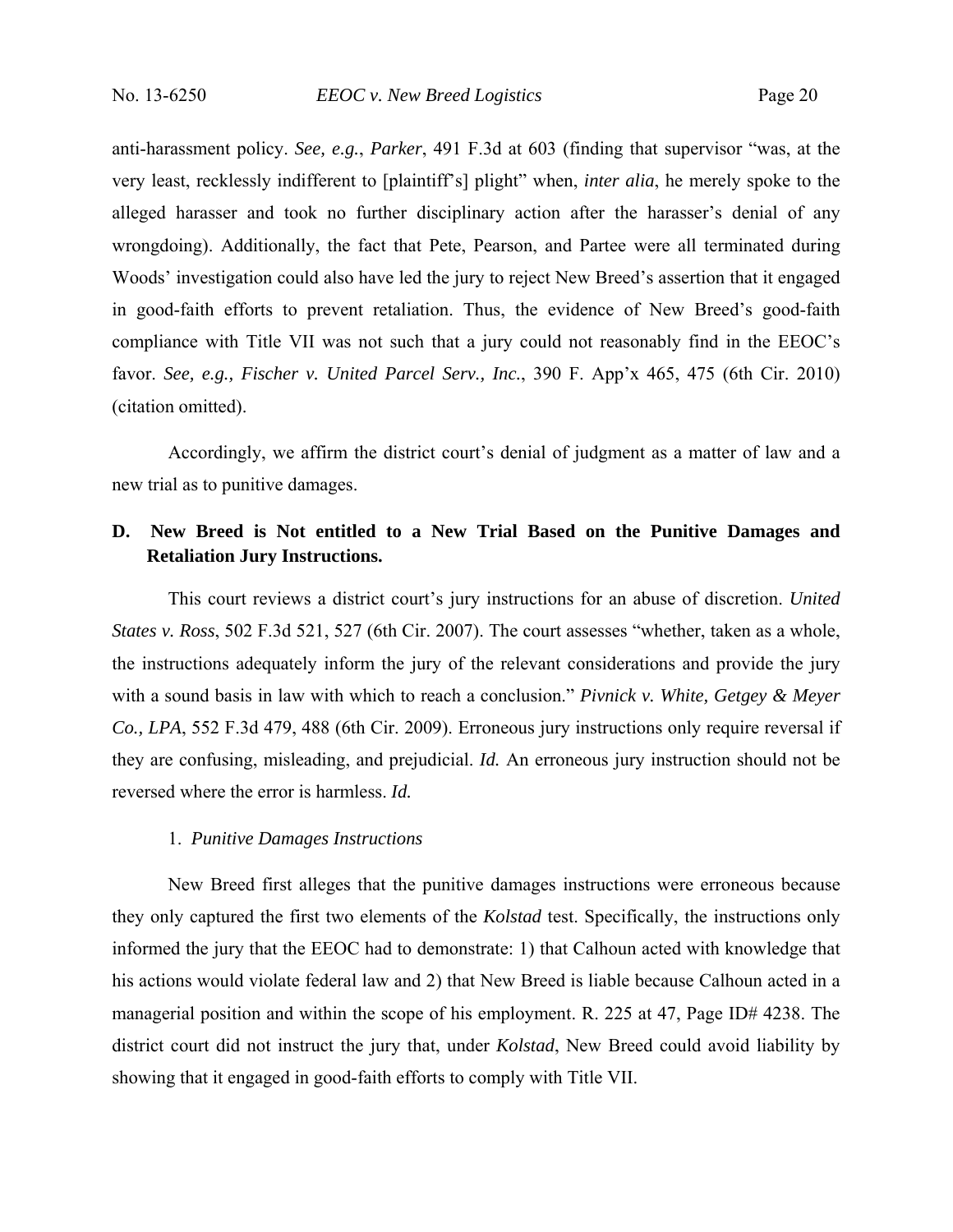anti-harassment policy. *See, e.g.*, *Parker*, 491 F.3d at 603 (finding that supervisor "was, at the very least, recklessly indifferent to [plaintiff's] plight" when, *inter alia*, he merely spoke to the alleged harasser and took no further disciplinary action after the harasser's denial of any wrongdoing). Additionally, the fact that Pete, Pearson, and Partee were all terminated during Woods' investigation could also have led the jury to reject New Breed's assertion that it engaged in good-faith efforts to prevent retaliation. Thus, the evidence of New Breed's good-faith compliance with Title VII was not such that a jury could not reasonably find in the EEOC's favor. *See, e.g., Fischer v. United Parcel Serv., Inc.*, 390 F. App'x 465, 475 (6th Cir. 2010) (citation omitted).

Accordingly, we affirm the district court's denial of judgment as a matter of law and a new trial as to punitive damages.

## **D. New Breed is Not entitled to a New Trial Based on the Punitive Damages and Retaliation Jury Instructions.**

This court reviews a district court's jury instructions for an abuse of discretion. *United States v. Ross*, 502 F.3d 521, 527 (6th Cir. 2007). The court assesses "whether, taken as a whole, the instructions adequately inform the jury of the relevant considerations and provide the jury with a sound basis in law with which to reach a conclusion." *Pivnick v. White, Getgey & Meyer Co., LPA*, 552 F.3d 479, 488 (6th Cir. 2009). Erroneous jury instructions only require reversal if they are confusing, misleading, and prejudicial. *Id.* An erroneous jury instruction should not be reversed where the error is harmless. *Id.*

## 1. *Punitive Damages Instructions*

New Breed first alleges that the punitive damages instructions were erroneous because they only captured the first two elements of the *Kolstad* test. Specifically, the instructions only informed the jury that the EEOC had to demonstrate: 1) that Calhoun acted with knowledge that his actions would violate federal law and 2) that New Breed is liable because Calhoun acted in a managerial position and within the scope of his employment. R. 225 at 47, Page ID# 4238. The district court did not instruct the jury that, under *Kolstad*, New Breed could avoid liability by showing that it engaged in good-faith efforts to comply with Title VII.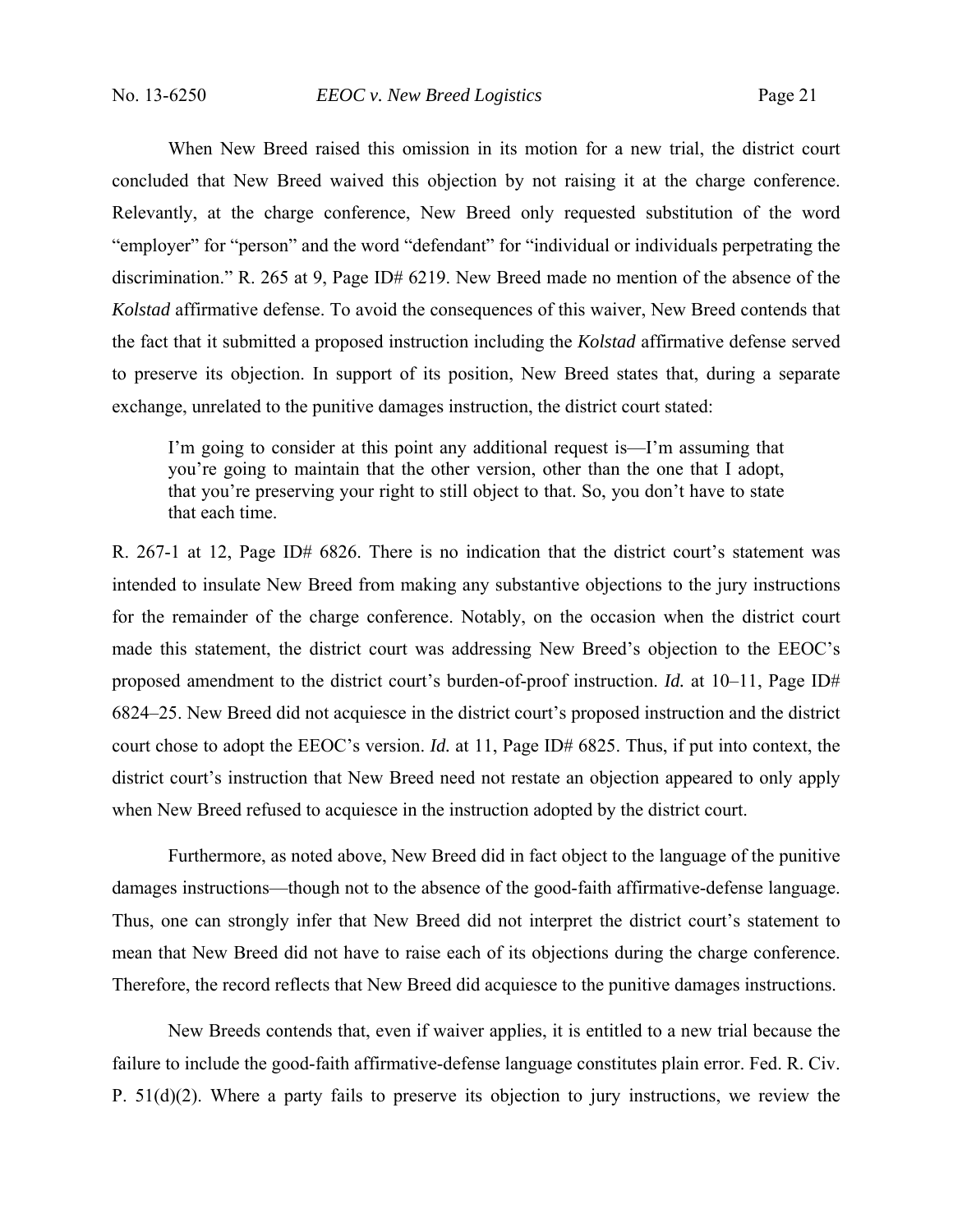When New Breed raised this omission in its motion for a new trial, the district court concluded that New Breed waived this objection by not raising it at the charge conference. Relevantly, at the charge conference, New Breed only requested substitution of the word "employer" for "person" and the word "defendant" for "individual or individuals perpetrating the discrimination." R. 265 at 9, Page ID# 6219. New Breed made no mention of the absence of the *Kolstad* affirmative defense. To avoid the consequences of this waiver, New Breed contends that the fact that it submitted a proposed instruction including the *Kolstad* affirmative defense served to preserve its objection. In support of its position, New Breed states that, during a separate exchange, unrelated to the punitive damages instruction, the district court stated:

I'm going to consider at this point any additional request is—I'm assuming that you're going to maintain that the other version, other than the one that I adopt, that you're preserving your right to still object to that. So, you don't have to state that each time.

R. 267-1 at 12, Page ID# 6826. There is no indication that the district court's statement was intended to insulate New Breed from making any substantive objections to the jury instructions for the remainder of the charge conference. Notably, on the occasion when the district court made this statement, the district court was addressing New Breed's objection to the EEOC's proposed amendment to the district court's burden-of-proof instruction. *Id.* at 10–11, Page ID# 6824–25. New Breed did not acquiesce in the district court's proposed instruction and the district court chose to adopt the EEOC's version. *Id.* at 11, Page ID# 6825. Thus, if put into context, the district court's instruction that New Breed need not restate an objection appeared to only apply when New Breed refused to acquiesce in the instruction adopted by the district court.

Furthermore, as noted above, New Breed did in fact object to the language of the punitive damages instructions—though not to the absence of the good-faith affirmative-defense language. Thus, one can strongly infer that New Breed did not interpret the district court's statement to mean that New Breed did not have to raise each of its objections during the charge conference. Therefore, the record reflects that New Breed did acquiesce to the punitive damages instructions.

 New Breeds contends that, even if waiver applies, it is entitled to a new trial because the failure to include the good-faith affirmative-defense language constitutes plain error. Fed. R. Civ. P. 51(d)(2). Where a party fails to preserve its objection to jury instructions, we review the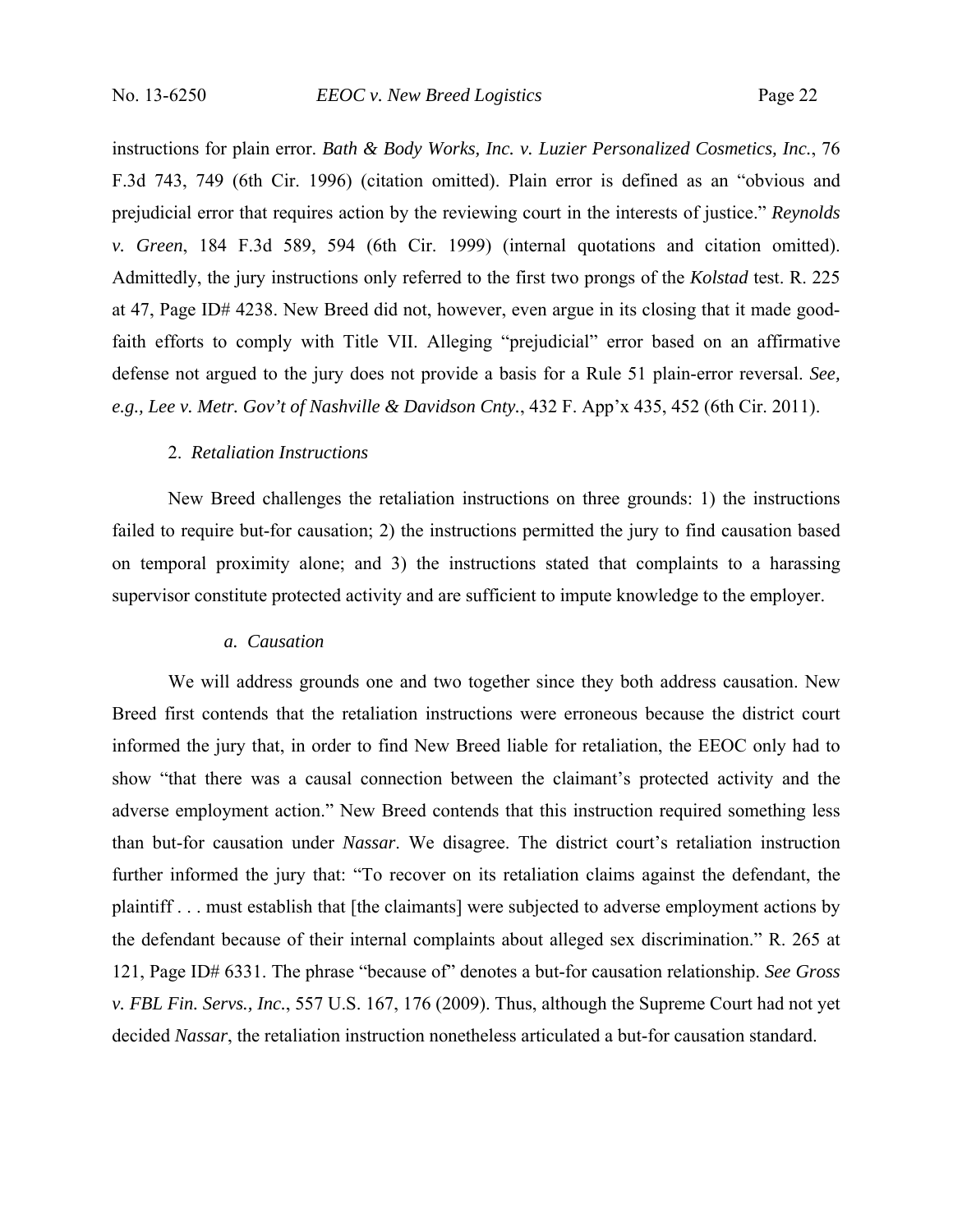instructions for plain error. *Bath & Body Works, Inc. v. Luzier Personalized Cosmetics, Inc.*, 76 F.3d 743, 749 (6th Cir. 1996) (citation omitted). Plain error is defined as an "obvious and prejudicial error that requires action by the reviewing court in the interests of justice." *Reynolds v. Green*, 184 F.3d 589, 594 (6th Cir. 1999) (internal quotations and citation omitted). Admittedly, the jury instructions only referred to the first two prongs of the *Kolstad* test. R. 225 at 47, Page ID# 4238. New Breed did not, however, even argue in its closing that it made goodfaith efforts to comply with Title VII. Alleging "prejudicial" error based on an affirmative defense not argued to the jury does not provide a basis for a Rule 51 plain-error reversal. *See, e.g., Lee v. Metr. Gov't of Nashville & Davidson Cnty.*, 432 F. App'x 435, 452 (6th Cir. 2011).

### 2. *Retaliation Instructions*

New Breed challenges the retaliation instructions on three grounds: 1) the instructions failed to require but-for causation; 2) the instructions permitted the jury to find causation based on temporal proximity alone; and 3) the instructions stated that complaints to a harassing supervisor constitute protected activity and are sufficient to impute knowledge to the employer.

### *a. Causation*

We will address grounds one and two together since they both address causation. New Breed first contends that the retaliation instructions were erroneous because the district court informed the jury that, in order to find New Breed liable for retaliation, the EEOC only had to show "that there was a causal connection between the claimant's protected activity and the adverse employment action." New Breed contends that this instruction required something less than but-for causation under *Nassar*. We disagree. The district court's retaliation instruction further informed the jury that: "To recover on its retaliation claims against the defendant, the plaintiff . . . must establish that [the claimants] were subjected to adverse employment actions by the defendant because of their internal complaints about alleged sex discrimination." R. 265 at 121, Page ID# 6331. The phrase "because of" denotes a but-for causation relationship. *See Gross v. FBL Fin. Servs., Inc.*, 557 U.S. 167, 176 (2009). Thus, although the Supreme Court had not yet decided *Nassar*, the retaliation instruction nonetheless articulated a but-for causation standard.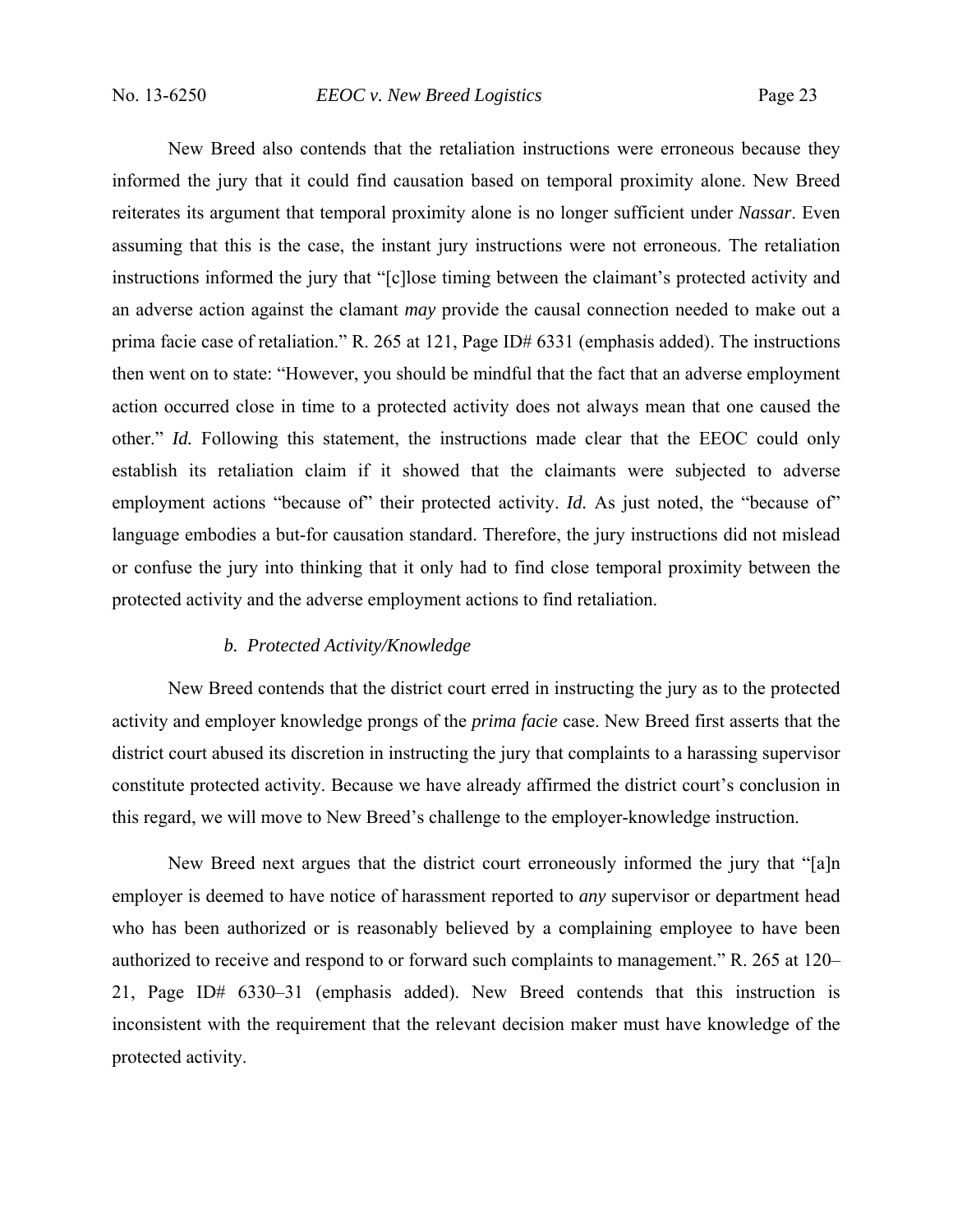New Breed also contends that the retaliation instructions were erroneous because they informed the jury that it could find causation based on temporal proximity alone. New Breed reiterates its argument that temporal proximity alone is no longer sufficient under *Nassar*. Even assuming that this is the case, the instant jury instructions were not erroneous. The retaliation instructions informed the jury that "[c]lose timing between the claimant's protected activity and an adverse action against the clamant *may* provide the causal connection needed to make out a prima facie case of retaliation." R. 265 at 121, Page ID# 6331 (emphasis added). The instructions then went on to state: "However, you should be mindful that the fact that an adverse employment action occurred close in time to a protected activity does not always mean that one caused the other." *Id.* Following this statement, the instructions made clear that the EEOC could only establish its retaliation claim if it showed that the claimants were subjected to adverse employment actions "because of" their protected activity. *Id.* As just noted, the "because of" language embodies a but-for causation standard. Therefore, the jury instructions did not mislead or confuse the jury into thinking that it only had to find close temporal proximity between the protected activity and the adverse employment actions to find retaliation.

## *b. Protected Activity/Knowledge*

New Breed contends that the district court erred in instructing the jury as to the protected activity and employer knowledge prongs of the *prima facie* case. New Breed first asserts that the district court abused its discretion in instructing the jury that complaints to a harassing supervisor constitute protected activity. Because we have already affirmed the district court's conclusion in this regard, we will move to New Breed's challenge to the employer-knowledge instruction.

New Breed next argues that the district court erroneously informed the jury that "[a]n employer is deemed to have notice of harassment reported to *any* supervisor or department head who has been authorized or is reasonably believed by a complaining employee to have been authorized to receive and respond to or forward such complaints to management." R. 265 at 120– 21, Page ID# 6330–31 (emphasis added). New Breed contends that this instruction is inconsistent with the requirement that the relevant decision maker must have knowledge of the protected activity.